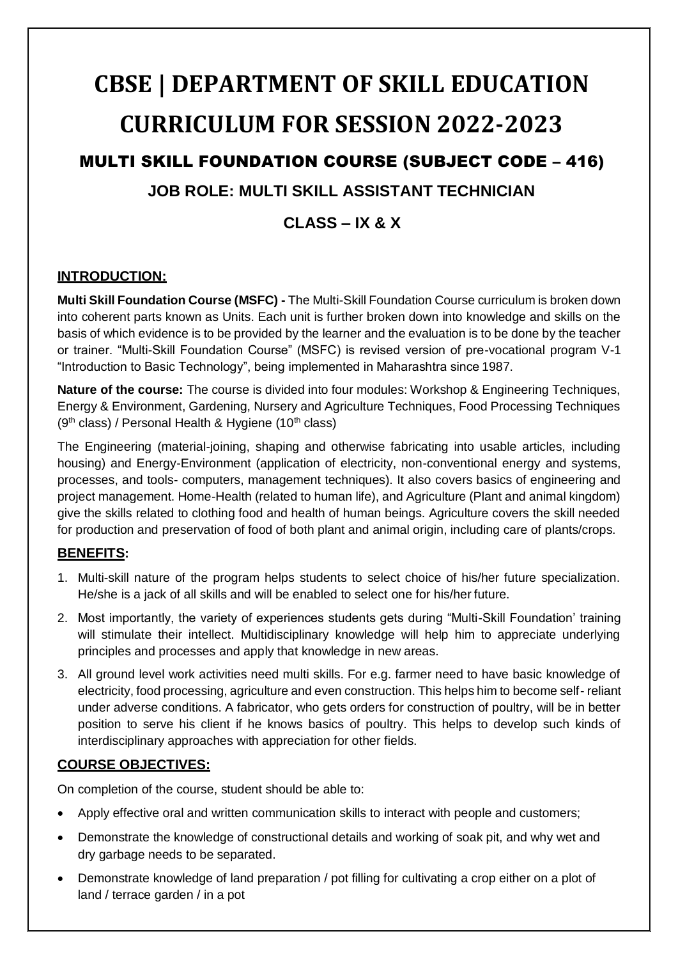# **CBSE | DEPARTMENT OF SKILL EDUCATION CURRICULUM FOR SESSION 2022-2023** MULTI SKILL FOUNDATION COURSE (SUBJECT CODE – 416)

## **JOB ROLE: MULTI SKILL ASSISTANT TECHNICIAN**

## **CLASS – IX & X**

## **INTRODUCTION:**

**Multi Skill Foundation Course (MSFC) -** The Multi-Skill Foundation Course curriculum is broken down into coherent parts known as Units. Each unit is further broken down into knowledge and skills on the basis of which evidence is to be provided by the learner and the evaluation is to be done by the teacher or trainer. "Multi-Skill Foundation Course" (MSFC) is revised version of pre-vocational program V-1 "Introduction to Basic Technology", being implemented in Maharashtra since 1987.

**Nature of the course:** The course is divided into four modules: Workshop & Engineering Techniques, Energy & Environment, Gardening, Nursery and Agriculture Techniques, Food Processing Techniques ( $9<sup>th</sup>$  class) / Personal Health & Hygiene (10<sup>th</sup> class)

The Engineering (material-joining, shaping and otherwise fabricating into usable articles, including housing) and Energy-Environment (application of electricity, non-conventional energy and systems, processes, and tools- computers, management techniques). It also covers basics of engineering and project management. Home-Health (related to human life), and Agriculture (Plant and animal kingdom) give the skills related to clothing food and health of human beings. Agriculture covers the skill needed for production and preservation of food of both plant and animal origin, including care of plants/crops.

## **BENEFITS:**

- 1. Multi-skill nature of the program helps students to select choice of his/her future specialization. He/she is a jack of all skills and will be enabled to select one for his/her future.
- 2. Most importantly, the variety of experiences students gets during "Multi-Skill Foundation' training will stimulate their intellect. Multidisciplinary knowledge will help him to appreciate underlying principles and processes and apply that knowledge in new areas.
- 3. All ground level work activities need multi skills. For e.g. farmer need to have basic knowledge of electricity, food processing, agriculture and even construction. This helps him to become self- reliant under adverse conditions. A fabricator, who gets orders for construction of poultry, will be in better position to serve his client if he knows basics of poultry. This helps to develop such kinds of interdisciplinary approaches with appreciation for other fields.

## **COURSE OBJECTIVES:**

On completion of the course, student should be able to:

- Apply effective oral and written communication skills to interact with people and customers;
- Demonstrate the knowledge of constructional details and working of soak pit, and why wet and dry garbage needs to be separated.
- Demonstrate knowledge of land preparation / pot filling for cultivating a crop either on a plot of land / terrace garden / in a pot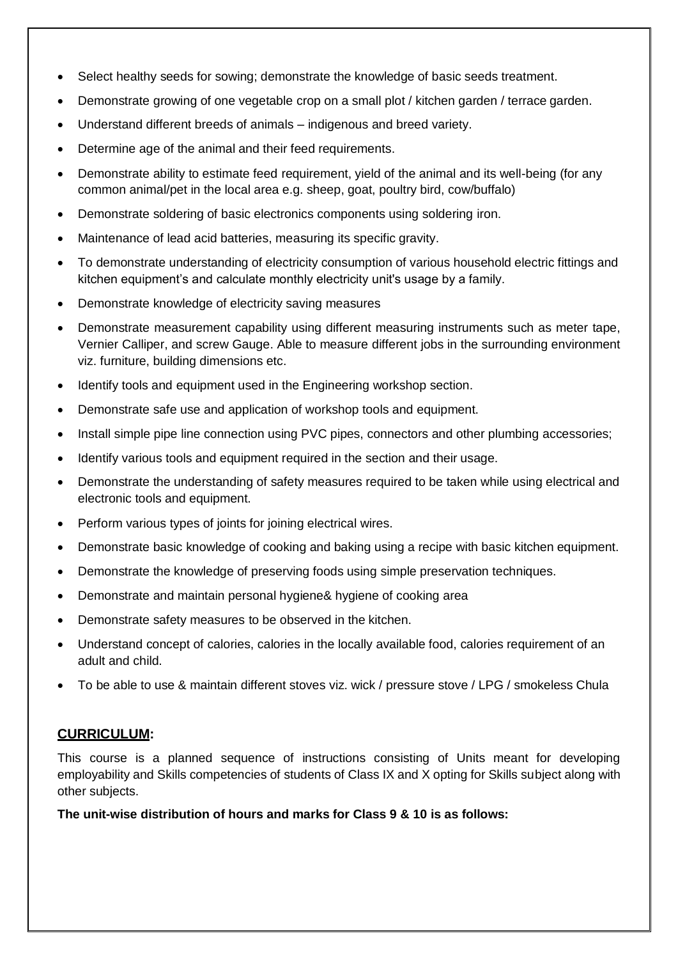- Select healthy seeds for sowing; demonstrate the knowledge of basic seeds treatment.
- Demonstrate growing of one vegetable crop on a small plot / kitchen garden / terrace garden.
- Understand different breeds of animals indigenous and breed variety.
- Determine age of the animal and their feed requirements.
- Demonstrate ability to estimate feed requirement, yield of the animal and its well-being (for any common animal/pet in the local area e.g. sheep, goat, poultry bird, cow/buffalo)
- Demonstrate soldering of basic electronics components using soldering iron.
- Maintenance of lead acid batteries, measuring its specific gravity.
- To demonstrate understanding of electricity consumption of various household electric fittings and kitchen equipment's and calculate monthly electricity unit's usage by a family.
- Demonstrate knowledge of electricity saving measures
- Demonstrate measurement capability using different measuring instruments such as meter tape, Vernier Calliper, and screw Gauge. Able to measure different jobs in the surrounding environment viz. furniture, building dimensions etc.
- Identify tools and equipment used in the Engineering workshop section.
- Demonstrate safe use and application of workshop tools and equipment.
- Install simple pipe line connection using PVC pipes, connectors and other plumbing accessories;
- Identify various tools and equipment required in the section and their usage.
- Demonstrate the understanding of safety measures required to be taken while using electrical and electronic tools and equipment.
- Perform various types of joints for joining electrical wires.
- Demonstrate basic knowledge of cooking and baking using a recipe with basic kitchen equipment.
- Demonstrate the knowledge of preserving foods using simple preservation techniques.
- Demonstrate and maintain personal hygiene& hygiene of cooking area
- Demonstrate safety measures to be observed in the kitchen.
- Understand concept of calories, calories in the locally available food, calories requirement of an adult and child.
- To be able to use & maintain different stoves viz. wick / pressure stove / LPG / smokeless Chula

#### **CURRICULUM:**

This course is a planned sequence of instructions consisting of Units meant for developing employability and Skills competencies of students of Class IX and X opting for Skills subject along with other subjects.

**The unit-wise distribution of hours and marks for Class 9 & 10 is as follows:**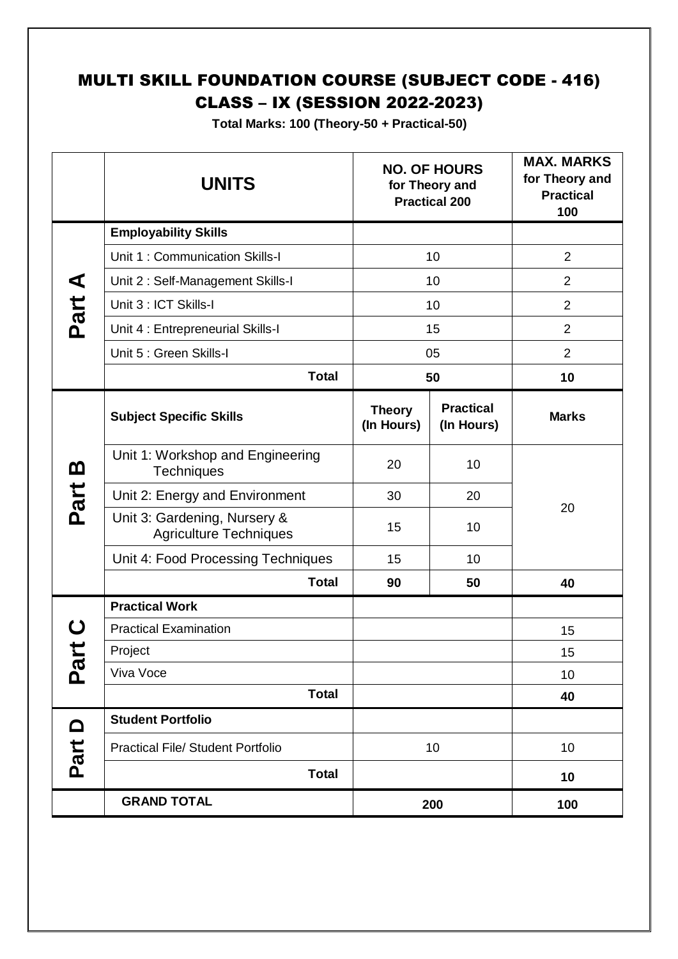## MULTI SKILL FOUNDATION COURSE (SUBJECT CODE - 416) CLASS – IX (SESSION 2022-2023)

**Total Marks: 100 (Theory-50 + Practical-50)**

|                            | <b>UNITS</b>                                                  |                             | <b>NO. OF HOURS</b><br>for Theory and<br><b>Practical 200</b> | <b>MAX. MARKS</b><br>for Theory and<br><b>Practical</b><br>100 |
|----------------------------|---------------------------------------------------------------|-----------------------------|---------------------------------------------------------------|----------------------------------------------------------------|
|                            | <b>Employability Skills</b>                                   |                             |                                                               |                                                                |
|                            | Unit 1: Communication Skills-I                                |                             | 10                                                            | $\overline{2}$                                                 |
| ⋖                          | Unit 2: Self-Management Skills-I                              |                             | 10                                                            | $\overline{2}$                                                 |
| Part.                      | Unit 3 : ICT Skills-I                                         |                             | 10                                                            | $\overline{2}$                                                 |
|                            | Unit 4 : Entrepreneurial Skills-I                             |                             | 15                                                            | $\overline{2}$                                                 |
|                            | Unit 5 : Green Skills-I                                       |                             | 05                                                            | $\overline{2}$                                                 |
|                            | <b>Total</b>                                                  |                             | 50                                                            | 10                                                             |
|                            | <b>Subject Specific Skills</b>                                | <b>Theory</b><br>(In Hours) | <b>Practical</b><br>(In Hours)                                | <b>Marks</b>                                                   |
| <u>ന</u>                   | Unit 1: Workshop and Engineering<br><b>Techniques</b>         | 20                          | 10                                                            |                                                                |
| Part                       | Unit 2: Energy and Environment                                | 30                          | 20                                                            |                                                                |
|                            | Unit 3: Gardening, Nursery &<br><b>Agriculture Techniques</b> | 15                          | 10                                                            | 20                                                             |
|                            | Unit 4: Food Processing Techniques                            | 15                          | 10                                                            |                                                                |
|                            | <b>Total</b>                                                  | 90                          | 50                                                            | 40                                                             |
|                            | <b>Practical Work</b>                                         |                             |                                                               |                                                                |
|                            | <b>Practical Examination</b>                                  |                             |                                                               | 15                                                             |
|                            | Project                                                       |                             |                                                               | 15                                                             |
| $\tilde{\bm{\omega}}$<br>൨ | Viva Voce                                                     |                             |                                                               | 10                                                             |
|                            | <b>Total</b>                                                  |                             |                                                               | 40                                                             |
| <b>△</b>                   | <b>Student Portfolio</b>                                      |                             |                                                               |                                                                |
| Part                       | <b>Practical File/ Student Portfolio</b>                      |                             | 10                                                            | 10                                                             |
|                            | <b>Total</b>                                                  |                             |                                                               | 10                                                             |
|                            | <b>GRAND TOTAL</b>                                            |                             | 200                                                           | 100                                                            |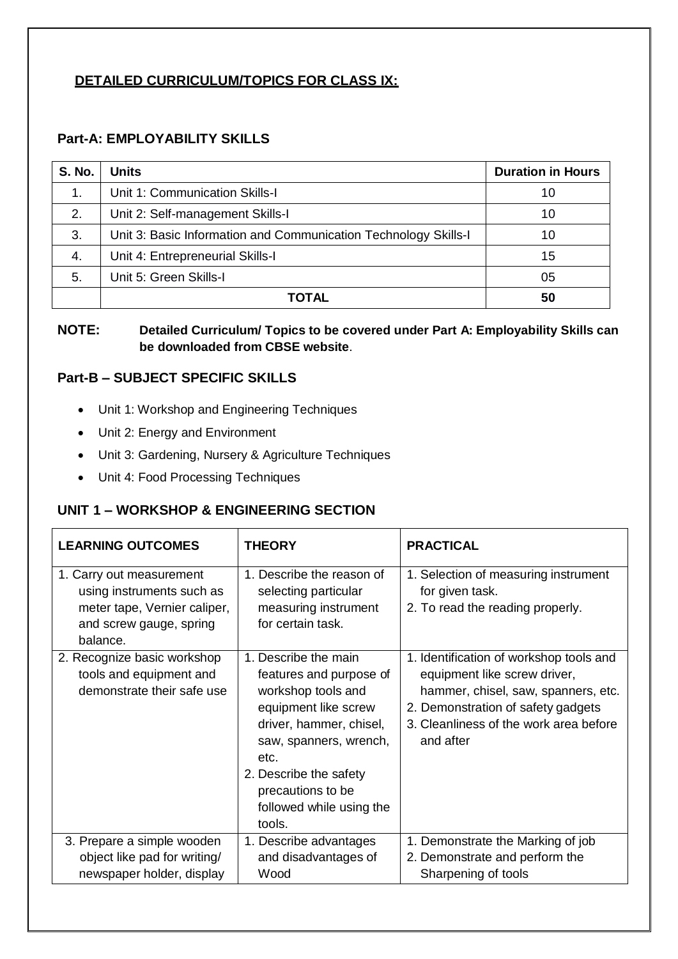## **DETAILED CURRICULUM/TOPICS FOR CLASS IX:**

## **Part-A: EMPLOYABILITY SKILLS**

| <b>S. No.</b> | <b>Units</b>                                                    | <b>Duration in Hours</b> |
|---------------|-----------------------------------------------------------------|--------------------------|
| 1.            | Unit 1: Communication Skills-I                                  | 10                       |
| 2.            | Unit 2: Self-management Skills-I                                | 10                       |
| 3.            | Unit 3: Basic Information and Communication Technology Skills-I | 10                       |
| 4.            | Unit 4: Entrepreneurial Skills-I                                | 15                       |
| 5.            | Unit 5: Green Skills-I                                          | 05                       |
|               | ΤΟΤΑL                                                           | 50                       |

#### **NOTE: Detailed Curriculum/ Topics to be covered under Part A: Employability Skills can be downloaded from CBSE website**.

## **Part-B – SUBJECT SPECIFIC SKILLS**

- Unit 1: Workshop and Engineering Techniques
- Unit 2: Energy and Environment
- Unit 3: Gardening, Nursery & Agriculture Techniques
- Unit 4: Food Processing Techniques

## **UNIT 1 – WORKSHOP & ENGINEERING SECTION**

| <b>LEARNING OUTCOMES</b>                                                                                                     | <b>THEORY</b>                                                                                                                                                                                                                                   | <b>PRACTICAL</b>                                                                                                                                                                                            |
|------------------------------------------------------------------------------------------------------------------------------|-------------------------------------------------------------------------------------------------------------------------------------------------------------------------------------------------------------------------------------------------|-------------------------------------------------------------------------------------------------------------------------------------------------------------------------------------------------------------|
| 1. Carry out measurement<br>using instruments such as<br>meter tape, Vernier caliper,<br>and screw gauge, spring<br>balance. | 1. Describe the reason of<br>selecting particular<br>measuring instrument<br>for certain task.                                                                                                                                                  | 1. Selection of measuring instrument<br>for given task.<br>2. To read the reading properly.                                                                                                                 |
| 2. Recognize basic workshop<br>tools and equipment and<br>demonstrate their safe use                                         | 1. Describe the main<br>features and purpose of<br>workshop tools and<br>equipment like screw<br>driver, hammer, chisel,<br>saw, spanners, wrench,<br>etc.<br>2. Describe the safety<br>precautions to be<br>followed while using the<br>tools. | 1. Identification of workshop tools and<br>equipment like screw driver,<br>hammer, chisel, saw, spanners, etc.<br>2. Demonstration of safety gadgets<br>3. Cleanliness of the work area before<br>and after |
| 3. Prepare a simple wooden<br>object like pad for writing/<br>newspaper holder, display                                      | 1. Describe advantages<br>and disadvantages of<br>Wood                                                                                                                                                                                          | 1. Demonstrate the Marking of job<br>2. Demonstrate and perform the<br>Sharpening of tools                                                                                                                  |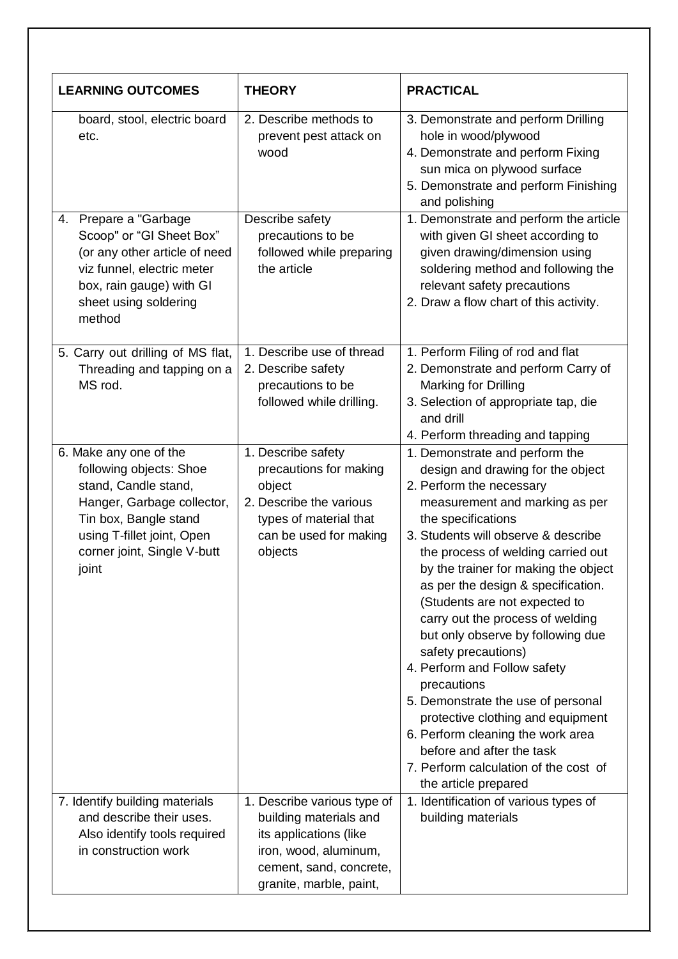| <b>LEARNING OUTCOMES</b>                                                                                                                                                                               | <b>THEORY</b>                                                                                                                                                  | <b>PRACTICAL</b>                                                                                                                                                                                                                                                                                                                                                                                                                                                                                                                                                                                                                                                                                                 |
|--------------------------------------------------------------------------------------------------------------------------------------------------------------------------------------------------------|----------------------------------------------------------------------------------------------------------------------------------------------------------------|------------------------------------------------------------------------------------------------------------------------------------------------------------------------------------------------------------------------------------------------------------------------------------------------------------------------------------------------------------------------------------------------------------------------------------------------------------------------------------------------------------------------------------------------------------------------------------------------------------------------------------------------------------------------------------------------------------------|
| board, stool, electric board<br>etc.                                                                                                                                                                   | 2. Describe methods to<br>prevent pest attack on<br>wood                                                                                                       | 3. Demonstrate and perform Drilling<br>hole in wood/plywood<br>4. Demonstrate and perform Fixing<br>sun mica on plywood surface<br>5. Demonstrate and perform Finishing<br>and polishing                                                                                                                                                                                                                                                                                                                                                                                                                                                                                                                         |
| 4. Prepare a "Garbage<br>Scoop" or "GI Sheet Box"<br>(or any other article of need<br>viz funnel, electric meter<br>box, rain gauge) with GI<br>sheet using soldering<br>method                        | Describe safety<br>precautions to be<br>followed while preparing<br>the article                                                                                | 1. Demonstrate and perform the article<br>with given GI sheet according to<br>given drawing/dimension using<br>soldering method and following the<br>relevant safety precautions<br>2. Draw a flow chart of this activity.                                                                                                                                                                                                                                                                                                                                                                                                                                                                                       |
| 5. Carry out drilling of MS flat,<br>Threading and tapping on a<br>MS rod.                                                                                                                             | 1. Describe use of thread<br>2. Describe safety<br>precautions to be<br>followed while drilling.                                                               | 1. Perform Filing of rod and flat<br>2. Demonstrate and perform Carry of<br>Marking for Drilling<br>3. Selection of appropriate tap, die<br>and drill<br>4. Perform threading and tapping                                                                                                                                                                                                                                                                                                                                                                                                                                                                                                                        |
| 6. Make any one of the<br>following objects: Shoe<br>stand, Candle stand,<br>Hanger, Garbage collector,<br>Tin box, Bangle stand<br>using T-fillet joint, Open<br>corner joint, Single V-butt<br>joint | 1. Describe safety<br>precautions for making<br>object<br>2. Describe the various<br>types of material that<br>can be used for making<br>objects               | 1. Demonstrate and perform the<br>design and drawing for the object<br>2. Perform the necessary<br>measurement and marking as per<br>the specifications<br>3. Students will observe & describe<br>the process of welding carried out<br>by the trainer for making the object<br>as per the design & specification.<br>(Students are not expected to<br>carry out the process of welding<br>but only observe by following due<br>safety precautions)<br>4. Perform and Follow safety<br>precautions<br>5. Demonstrate the use of personal<br>protective clothing and equipment<br>6. Perform cleaning the work area<br>before and after the task<br>7. Perform calculation of the cost of<br>the article prepared |
| 7. Identify building materials<br>and describe their uses.<br>Also identify tools required<br>in construction work                                                                                     | 1. Describe various type of<br>building materials and<br>its applications (like<br>iron, wood, aluminum,<br>cement, sand, concrete,<br>granite, marble, paint, | 1. Identification of various types of<br>building materials                                                                                                                                                                                                                                                                                                                                                                                                                                                                                                                                                                                                                                                      |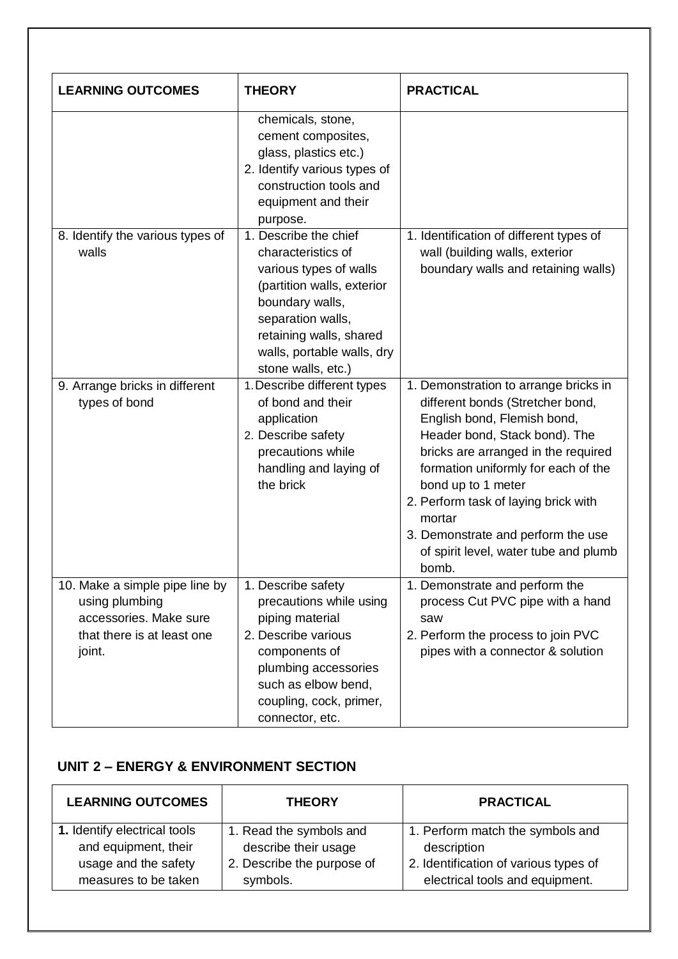| <b>LEARNING OUTCOMES</b>                                                                                           | <b>THEORY</b>                                                                                                                                                                                                              | <b>PRACTICAL</b>                                                                                                                                                                                                                                                                                                                                                                        |
|--------------------------------------------------------------------------------------------------------------------|----------------------------------------------------------------------------------------------------------------------------------------------------------------------------------------------------------------------------|-----------------------------------------------------------------------------------------------------------------------------------------------------------------------------------------------------------------------------------------------------------------------------------------------------------------------------------------------------------------------------------------|
|                                                                                                                    | chemicals, stone,<br>cement composites,<br>glass, plastics etc.)<br>2. Identify various types of<br>construction tools and<br>equipment and their<br>purpose.                                                              |                                                                                                                                                                                                                                                                                                                                                                                         |
| 8. Identify the various types of<br>walls                                                                          | 1. Describe the chief<br>characteristics of<br>various types of walls<br>(partition walls, exterior<br>boundary walls,<br>separation walls,<br>retaining walls, shared<br>walls, portable walls, dry<br>stone walls, etc.) | 1. Identification of different types of<br>wall (building walls, exterior<br>boundary walls and retaining walls)                                                                                                                                                                                                                                                                        |
| 9. Arrange bricks in different<br>types of bond                                                                    | 1. Describe different types<br>of bond and their<br>application<br>2. Describe safety<br>precautions while<br>handling and laying of<br>the brick                                                                          | 1. Demonstration to arrange bricks in<br>different bonds (Stretcher bond,<br>English bond, Flemish bond,<br>Header bond, Stack bond). The<br>bricks are arranged in the required<br>formation uniformly for each of the<br>bond up to 1 meter<br>2. Perform task of laying brick with<br>mortar<br>3. Demonstrate and perform the use<br>of spirit level, water tube and plumb<br>bomb. |
| 10. Make a simple pipe line by<br>using plumbing<br>accessories. Make sure<br>that there is at least one<br>joint. | 1. Describe safety<br>precautions while using<br>piping material<br>2. Describe various<br>components of<br>plumbing accessories<br>such as elbow bend,<br>coupling, cock, primer,<br>connector, etc.                      | 1. Demonstrate and perform the<br>process Cut PVC pipe with a hand<br>saw<br>2. Perform the process to join PVC<br>pipes with a connector & solution                                                                                                                                                                                                                                    |

## **UNIT 2 – ENERGY & ENVIRONMENT SECTION**

| <b>LEARNING OUTCOMES</b>     | <b>THEORY</b>              | <b>PRACTICAL</b>                      |
|------------------------------|----------------------------|---------------------------------------|
| 1. Identify electrical tools | 1. Read the symbols and    | 1. Perform match the symbols and      |
| and equipment, their         | describe their usage       | description                           |
| usage and the safety         | 2. Describe the purpose of | 2. Identification of various types of |
| measures to be taken         | symbols.                   | electrical tools and equipment.       |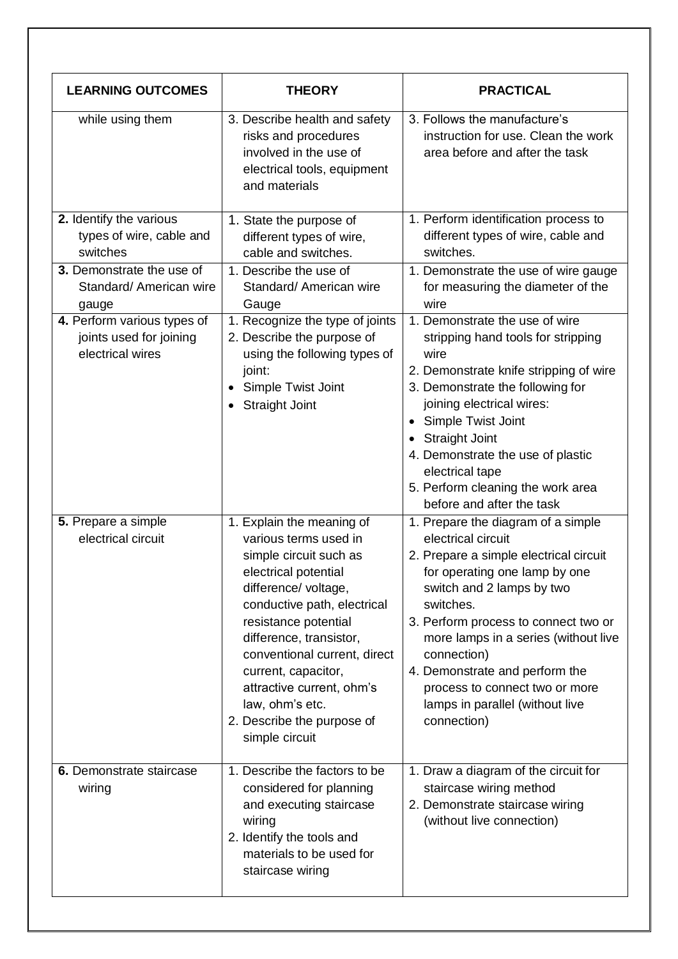| <b>LEARNING OUTCOMES</b>                                                                                                                                                                                       | <b>THEORY</b>                                                                                                                                                                                                                                                                                                                                                         | <b>PRACTICAL</b>                                                                                                                                                                                                                                                                                                                                                                                                                                                                                                                                              |
|----------------------------------------------------------------------------------------------------------------------------------------------------------------------------------------------------------------|-----------------------------------------------------------------------------------------------------------------------------------------------------------------------------------------------------------------------------------------------------------------------------------------------------------------------------------------------------------------------|---------------------------------------------------------------------------------------------------------------------------------------------------------------------------------------------------------------------------------------------------------------------------------------------------------------------------------------------------------------------------------------------------------------------------------------------------------------------------------------------------------------------------------------------------------------|
| while using them                                                                                                                                                                                               | 3. Describe health and safety<br>risks and procedures<br>involved in the use of<br>electrical tools, equipment<br>and materials                                                                                                                                                                                                                                       | 3. Follows the manufacture's<br>instruction for use. Clean the work<br>area before and after the task                                                                                                                                                                                                                                                                                                                                                                                                                                                         |
| 2. Identify the various<br>types of wire, cable and<br>switches<br>3. Demonstrate the use of<br>Standard/ American wire<br>gauge<br>4. Perform various types of<br>joints used for joining<br>electrical wires | 1. State the purpose of<br>different types of wire,<br>cable and switches.<br>1. Describe the use of<br>Standard/ American wire<br>Gauge<br>1. Recognize the type of joints<br>2. Describe the purpose of<br>using the following types of<br>joint:<br><b>Simple Twist Joint</b><br><b>Straight Joint</b><br>$\bullet$                                                | 1. Perform identification process to<br>different types of wire, cable and<br>switches.<br>1. Demonstrate the use of wire gauge<br>for measuring the diameter of the<br>wire<br>1. Demonstrate the use of wire<br>stripping hand tools for stripping<br>wire<br>2. Demonstrate knife stripping of wire<br>3. Demonstrate the following for<br>joining electrical wires:<br>Simple Twist Joint<br>$\bullet$<br><b>Straight Joint</b><br>4. Demonstrate the use of plastic<br>electrical tape<br>5. Perform cleaning the work area<br>before and after the task |
| 5. Prepare a simple<br>electrical circuit                                                                                                                                                                      | 1. Explain the meaning of<br>various terms used in<br>simple circuit such as<br>electrical potential<br>difference/ voltage,<br>conductive path, electrical<br>resistance potential<br>difference, transistor,<br>conventional current, direct<br>current, capacitor,<br>attractive current, ohm's<br>law, ohm's etc.<br>2. Describe the purpose of<br>simple circuit | 1. Prepare the diagram of a simple<br>electrical circuit<br>2. Prepare a simple electrical circuit<br>for operating one lamp by one<br>switch and 2 lamps by two<br>switches.<br>3. Perform process to connect two or<br>more lamps in a series (without live<br>connection)<br>4. Demonstrate and perform the<br>process to connect two or more<br>lamps in parallel (without live<br>connection)                                                                                                                                                            |
| 6. Demonstrate staircase<br>wiring                                                                                                                                                                             | 1. Describe the factors to be<br>considered for planning<br>and executing staircase<br>wiring<br>2. Identify the tools and<br>materials to be used for<br>staircase wiring                                                                                                                                                                                            | 1. Draw a diagram of the circuit for<br>staircase wiring method<br>2. Demonstrate staircase wiring<br>(without live connection)                                                                                                                                                                                                                                                                                                                                                                                                                               |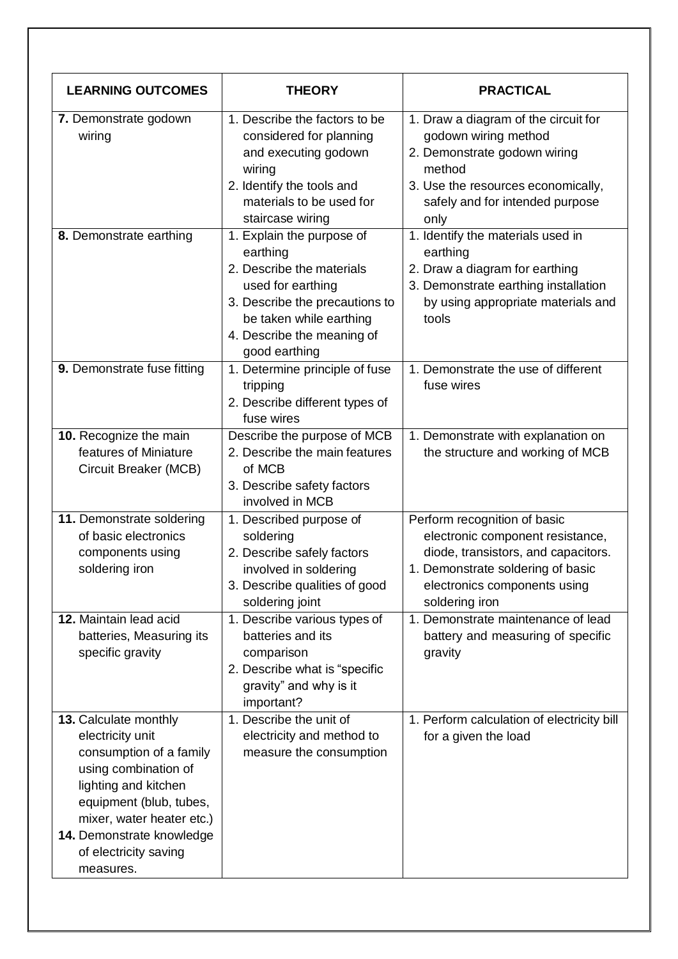| <b>LEARNING OUTCOMES</b>                                                                                                                                                                                                                        | <b>THEORY</b>                                                                                                                                                                                       | <b>PRACTICAL</b>                                                                                                                                                                               |
|-------------------------------------------------------------------------------------------------------------------------------------------------------------------------------------------------------------------------------------------------|-----------------------------------------------------------------------------------------------------------------------------------------------------------------------------------------------------|------------------------------------------------------------------------------------------------------------------------------------------------------------------------------------------------|
| 7. Demonstrate godown<br>wiring                                                                                                                                                                                                                 | 1. Describe the factors to be<br>considered for planning<br>and executing godown<br>wiring<br>2. Identify the tools and<br>materials to be used for<br>staircase wiring                             | 1. Draw a diagram of the circuit for<br>godown wiring method<br>2. Demonstrate godown wiring<br>method<br>3. Use the resources economically,<br>safely and for intended purpose<br>only        |
| 8. Demonstrate earthing                                                                                                                                                                                                                         | 1. Explain the purpose of<br>earthing<br>2. Describe the materials<br>used for earthing<br>3. Describe the precautions to<br>be taken while earthing<br>4. Describe the meaning of<br>good earthing | 1. Identify the materials used in<br>earthing<br>2. Draw a diagram for earthing<br>3. Demonstrate earthing installation<br>by using appropriate materials and<br>tools                         |
| 9. Demonstrate fuse fitting                                                                                                                                                                                                                     | 1. Determine principle of fuse<br>tripping<br>2. Describe different types of<br>fuse wires                                                                                                          | 1. Demonstrate the use of different<br>fuse wires                                                                                                                                              |
| 10. Recognize the main<br>features of Miniature<br>Circuit Breaker (MCB)                                                                                                                                                                        | Describe the purpose of MCB<br>2. Describe the main features<br>of MCB<br>3. Describe safety factors<br>involved in MCB                                                                             | 1. Demonstrate with explanation on<br>the structure and working of MCB                                                                                                                         |
| 11. Demonstrate soldering<br>of basic electronics<br>components using<br>soldering iron                                                                                                                                                         | 1. Described purpose of<br>soldering<br>2. Describe safely factors<br>involved in soldering<br>3. Describe qualities of good<br>soldering joint                                                     | Perform recognition of basic<br>electronic component resistance,<br>diode, transistors, and capacitors.<br>1. Demonstrate soldering of basic<br>electronics components using<br>soldering iron |
| 12. Maintain lead acid<br>batteries, Measuring its<br>specific gravity                                                                                                                                                                          | 1. Describe various types of<br>batteries and its<br>comparison<br>2. Describe what is "specific<br>gravity" and why is it<br>important?                                                            | 1. Demonstrate maintenance of lead<br>battery and measuring of specific<br>gravity                                                                                                             |
| 13. Calculate monthly<br>electricity unit<br>consumption of a family<br>using combination of<br>lighting and kitchen<br>equipment (blub, tubes,<br>mixer, water heater etc.)<br>14. Demonstrate knowledge<br>of electricity saving<br>measures. | 1. Describe the unit of<br>electricity and method to<br>measure the consumption                                                                                                                     | 1. Perform calculation of electricity bill<br>for a given the load                                                                                                                             |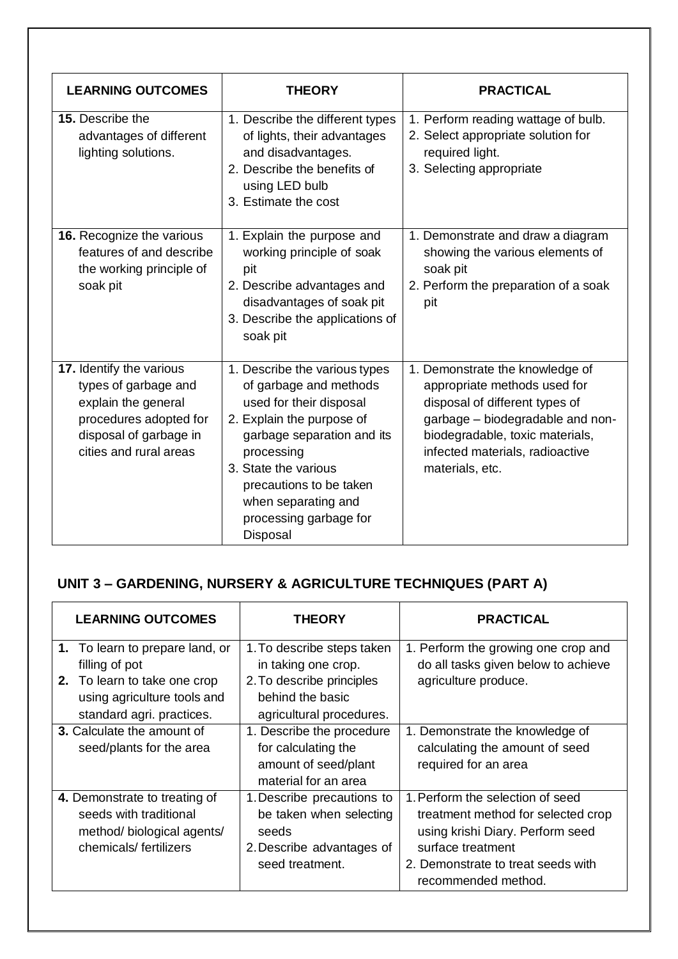| <b>LEARNING OUTCOMES</b>                                                                                                                              | <b>THEORY</b>                                                                                                                                                                                                                                                               | <b>PRACTICAL</b>                                                                                                                                                                                                               |
|-------------------------------------------------------------------------------------------------------------------------------------------------------|-----------------------------------------------------------------------------------------------------------------------------------------------------------------------------------------------------------------------------------------------------------------------------|--------------------------------------------------------------------------------------------------------------------------------------------------------------------------------------------------------------------------------|
| <b>15.</b> Describe the<br>advantages of different<br>lighting solutions.                                                                             | 1. Describe the different types<br>of lights, their advantages<br>and disadvantages.<br>2. Describe the benefits of<br>using LED bulb<br>3. Estimate the cost                                                                                                               | 1. Perform reading wattage of bulb.<br>2. Select appropriate solution for<br>required light.<br>3. Selecting appropriate                                                                                                       |
| 16. Recognize the various<br>features of and describe<br>the working principle of<br>soak pit                                                         | 1. Explain the purpose and<br>working principle of soak<br>pit<br>2. Describe advantages and<br>disadvantages of soak pit<br>3. Describe the applications of<br>soak pit                                                                                                    | 1. Demonstrate and draw a diagram<br>showing the various elements of<br>soak pit<br>2. Perform the preparation of a soak<br>pit                                                                                                |
| 17. Identify the various<br>types of garbage and<br>explain the general<br>procedures adopted for<br>disposal of garbage in<br>cities and rural areas | 1. Describe the various types<br>of garbage and methods<br>used for their disposal<br>2. Explain the purpose of<br>garbage separation and its<br>processing<br>3. State the various<br>precautions to be taken<br>when separating and<br>processing garbage for<br>Disposal | 1. Demonstrate the knowledge of<br>appropriate methods used for<br>disposal of different types of<br>garbage - biodegradable and non-<br>biodegradable, toxic materials,<br>infected materials, radioactive<br>materials, etc. |

## **UNIT 3 – GARDENING, NURSERY & AGRICULTURE TECHNIQUES (PART A)**

| <b>LEARNING OUTCOMES</b>                                                                                                                      | <b>THEORY</b>                                                                                                                  | <b>PRACTICAL</b>                                                                                                                                                                             |
|-----------------------------------------------------------------------------------------------------------------------------------------------|--------------------------------------------------------------------------------------------------------------------------------|----------------------------------------------------------------------------------------------------------------------------------------------------------------------------------------------|
| 1. To learn to prepare land, or<br>filling of pot<br>2. To learn to take one crop<br>using agriculture tools and<br>standard agri. practices. | 1. To describe steps taken<br>in taking one crop.<br>2. To describe principles<br>behind the basic<br>agricultural procedures. | 1. Perform the growing one crop and<br>do all tasks given below to achieve<br>agriculture produce.                                                                                           |
| <b>3.</b> Calculate the amount of<br>seed/plants for the area                                                                                 | 1. Describe the procedure<br>for calculating the<br>amount of seed/plant<br>material for an area                               | 1. Demonstrate the knowledge of<br>calculating the amount of seed<br>required for an area                                                                                                    |
| 4. Demonstrate to treating of<br>seeds with traditional<br>method/ biological agents/<br>chemicals/fertilizers                                | 1. Describe precautions to<br>be taken when selecting<br>seeds<br>2. Describe advantages of<br>seed treatment.                 | 1. Perform the selection of seed<br>treatment method for selected crop<br>using krishi Diary. Perform seed<br>surface treatment<br>2. Demonstrate to treat seeds with<br>recommended method. |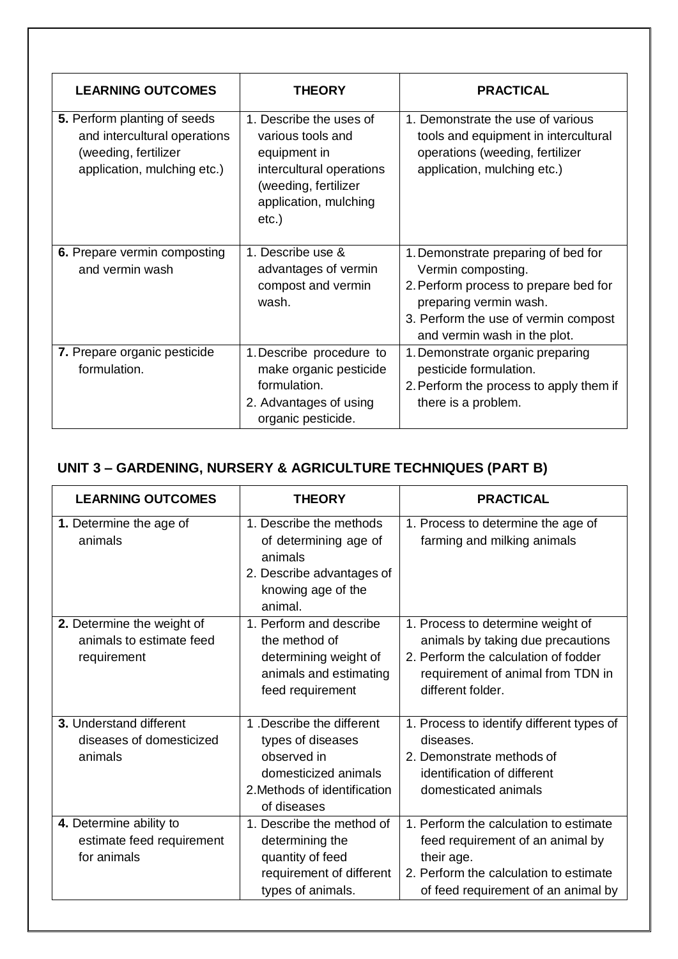| <b>LEARNING OUTCOMES</b>                                                                                            | <b>THEORY</b>                                                                                                                                         | <b>PRACTICAL</b>                                                                                                                                                                                     |
|---------------------------------------------------------------------------------------------------------------------|-------------------------------------------------------------------------------------------------------------------------------------------------------|------------------------------------------------------------------------------------------------------------------------------------------------------------------------------------------------------|
| 5. Perform planting of seeds<br>and intercultural operations<br>(weeding, fertilizer<br>application, mulching etc.) | 1. Describe the uses of<br>various tools and<br>equipment in<br>intercultural operations<br>(weeding, fertilizer<br>application, mulching<br>$etc.$ ) | 1. Demonstrate the use of various<br>tools and equipment in intercultural<br>operations (weeding, fertilizer<br>application, mulching etc.)                                                          |
| 6. Prepare vermin composting<br>and vermin wash                                                                     | 1. Describe use &<br>advantages of vermin<br>compost and vermin<br>wash.                                                                              | 1. Demonstrate preparing of bed for<br>Vermin composting.<br>2. Perform process to prepare bed for<br>preparing vermin wash.<br>3. Perform the use of vermin compost<br>and vermin wash in the plot. |
| 7. Prepare organic pesticide<br>formulation.                                                                        | 1. Describe procedure to<br>make organic pesticide<br>formulation.<br>2. Advantages of using<br>organic pesticide.                                    | 1. Demonstrate organic preparing<br>pesticide formulation.<br>2. Perform the process to apply them if<br>there is a problem.                                                                         |

## **UNIT 3 – GARDENING, NURSERY & AGRICULTURE TECHNIQUES (PART B)**

| <b>LEARNING OUTCOMES</b>                                              | <b>THEORY</b>                                                                                                                        | <b>PRACTICAL</b>                                                                                                                                                          |
|-----------------------------------------------------------------------|--------------------------------------------------------------------------------------------------------------------------------------|---------------------------------------------------------------------------------------------------------------------------------------------------------------------------|
| 1. Determine the age of<br>animals                                    | 1. Describe the methods<br>of determining age of<br>animals<br>2. Describe advantages of<br>knowing age of the<br>animal.            | 1. Process to determine the age of<br>farming and milking animals                                                                                                         |
| 2. Determine the weight of<br>animals to estimate feed<br>requirement | 1. Perform and describe<br>the method of<br>determining weight of<br>animals and estimating<br>feed requirement                      | 1. Process to determine weight of<br>animals by taking due precautions<br>2. Perform the calculation of fodder<br>requirement of animal from TDN in<br>different folder.  |
| 3. Understand different<br>diseases of domesticized<br>animals        | 1. Describe the different<br>types of diseases<br>observed in<br>domesticized animals<br>2. Methods of identification<br>of diseases | 1. Process to identify different types of<br>diseases.<br>2. Demonstrate methods of<br>identification of different<br>domesticated animals                                |
| 4. Determine ability to<br>estimate feed requirement<br>for animals   | 1. Describe the method of<br>determining the<br>quantity of feed<br>requirement of different<br>types of animals.                    | 1. Perform the calculation to estimate<br>feed requirement of an animal by<br>their age.<br>2. Perform the calculation to estimate<br>of feed requirement of an animal by |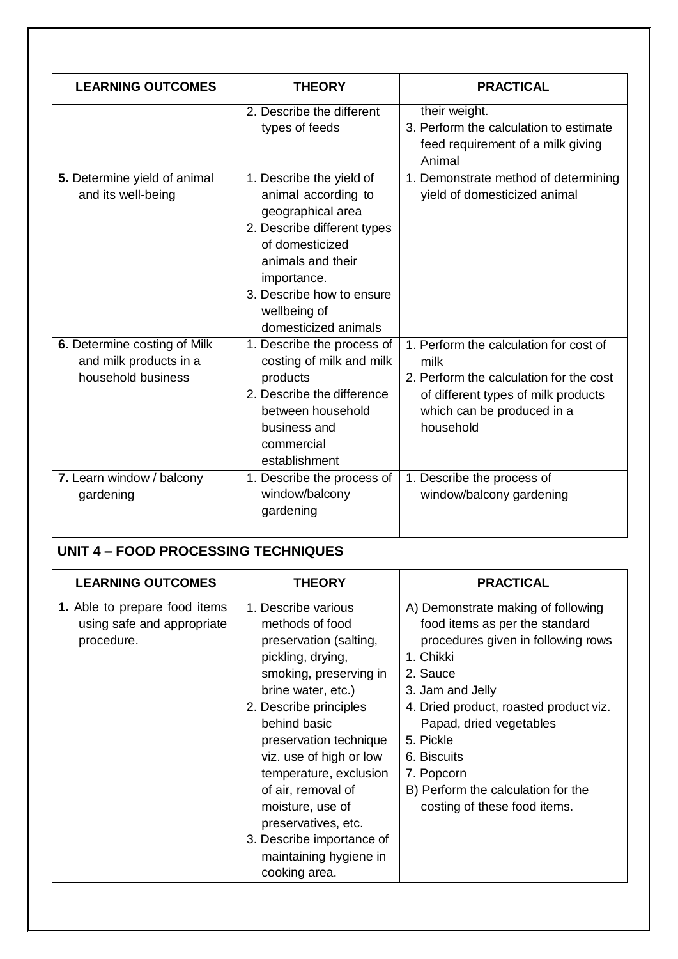| <b>LEARNING OUTCOMES</b>                                                     | <b>THEORY</b>                                                                                                                                                                                                                   | <b>PRACTICAL</b>                                                                                                                                                            |
|------------------------------------------------------------------------------|---------------------------------------------------------------------------------------------------------------------------------------------------------------------------------------------------------------------------------|-----------------------------------------------------------------------------------------------------------------------------------------------------------------------------|
|                                                                              | 2. Describe the different<br>types of feeds                                                                                                                                                                                     | their weight.<br>3. Perform the calculation to estimate<br>feed requirement of a milk giving<br>Animal                                                                      |
| 5. Determine yield of animal<br>and its well-being                           | 1. Describe the yield of<br>animal according to<br>geographical area<br>2. Describe different types<br>of domesticized<br>animals and their<br>importance.<br>3. Describe how to ensure<br>wellbeing of<br>domesticized animals | 1. Demonstrate method of determining<br>yield of domesticized animal                                                                                                        |
| 6. Determine costing of Milk<br>and milk products in a<br>household business | 1. Describe the process of<br>costing of milk and milk<br>products<br>2. Describe the difference<br>between household<br>business and<br>commercial<br>establishment                                                            | 1. Perform the calculation for cost of<br>milk<br>2. Perform the calculation for the cost<br>of different types of milk products<br>which can be produced in a<br>household |
| 7. Learn window / balcony<br>gardening                                       | 1. Describe the process of<br>window/balcony<br>gardening                                                                                                                                                                       | 1. Describe the process of<br>window/balcony gardening                                                                                                                      |

## **UNIT 4 – FOOD PROCESSING TECHNIQUES**

| <b>LEARNING OUTCOMES</b>                                                  | <b>THEORY</b>                                                                                                                                                                                                                                                                                                                                                                                           | <b>PRACTICAL</b>                                                                                                                                                                                                                                                                                                                             |
|---------------------------------------------------------------------------|---------------------------------------------------------------------------------------------------------------------------------------------------------------------------------------------------------------------------------------------------------------------------------------------------------------------------------------------------------------------------------------------------------|----------------------------------------------------------------------------------------------------------------------------------------------------------------------------------------------------------------------------------------------------------------------------------------------------------------------------------------------|
| 1. Able to prepare food items<br>using safe and appropriate<br>procedure. | 1. Describe various<br>methods of food<br>preservation (salting,<br>pickling, drying,<br>smoking, preserving in<br>brine water, etc.)<br>2. Describe principles<br>behind basic<br>preservation technique<br>viz. use of high or low<br>temperature, exclusion<br>of air, removal of<br>moisture, use of<br>preservatives, etc.<br>3. Describe importance of<br>maintaining hygiene in<br>cooking area. | A) Demonstrate making of following<br>food items as per the standard<br>procedures given in following rows<br>1. Chikki<br>2. Sauce<br>3. Jam and Jelly<br>4. Dried product, roasted product viz.<br>Papad, dried vegetables<br>5. Pickle<br>6. Biscuits<br>7. Popcorn<br>B) Perform the calculation for the<br>costing of these food items. |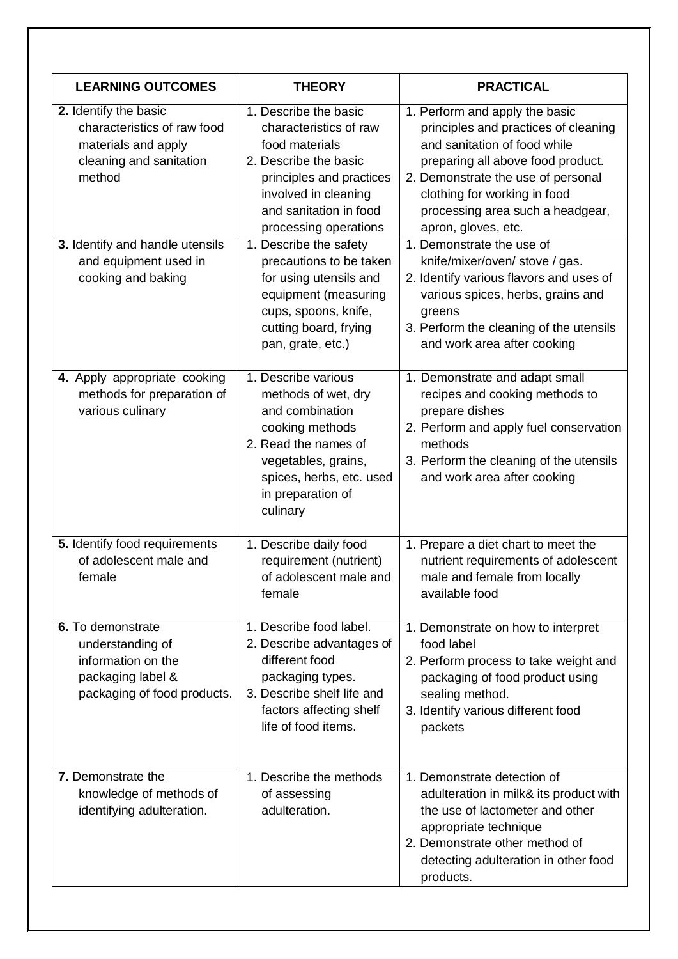| <b>LEARNING OUTCOMES</b>                                                                                         | <b>THEORY</b>                                                                                                                                                                                     | <b>PRACTICAL</b>                                                                                                                                                                                                                                                             |
|------------------------------------------------------------------------------------------------------------------|---------------------------------------------------------------------------------------------------------------------------------------------------------------------------------------------------|------------------------------------------------------------------------------------------------------------------------------------------------------------------------------------------------------------------------------------------------------------------------------|
| 2. Identify the basic<br>characteristics of raw food<br>materials and apply<br>cleaning and sanitation<br>method | 1. Describe the basic<br>characteristics of raw<br>food materials<br>2. Describe the basic<br>principles and practices<br>involved in cleaning<br>and sanitation in food<br>processing operations | 1. Perform and apply the basic<br>principles and practices of cleaning<br>and sanitation of food while<br>preparing all above food product.<br>2. Demonstrate the use of personal<br>clothing for working in food<br>processing area such a headgear,<br>apron, gloves, etc. |
| 3. Identify and handle utensils<br>and equipment used in<br>cooking and baking                                   | 1. Describe the safety<br>precautions to be taken<br>for using utensils and<br>equipment (measuring<br>cups, spoons, knife,<br>cutting board, frying<br>pan, grate, etc.)                         | 1. Demonstrate the use of<br>knife/mixer/oven/ stove / gas.<br>2. Identify various flavors and uses of<br>various spices, herbs, grains and<br>greens<br>3. Perform the cleaning of the utensils<br>and work area after cooking                                              |
| 4. Apply appropriate cooking<br>methods for preparation of<br>various culinary                                   | 1. Describe various<br>methods of wet, dry<br>and combination<br>cooking methods<br>2. Read the names of<br>vegetables, grains,<br>spices, herbs, etc. used<br>in preparation of<br>culinary      | 1. Demonstrate and adapt small<br>recipes and cooking methods to<br>prepare dishes<br>2. Perform and apply fuel conservation<br>methods<br>3. Perform the cleaning of the utensils<br>and work area after cooking                                                            |
| 5. Identify food requirements<br>of adolescent male and<br>female                                                | 1. Describe daily food<br>requirement (nutrient)<br>of adolescent male and<br>female                                                                                                              | 1. Prepare a diet chart to meet the<br>nutrient requirements of adolescent<br>male and female from locally<br>available food                                                                                                                                                 |
| 6. To demonstrate<br>understanding of<br>information on the<br>packaging label &<br>packaging of food products.  | 1. Describe food label.<br>2. Describe advantages of<br>different food<br>packaging types.<br>3. Describe shelf life and<br>factors affecting shelf<br>life of food items.                        | 1. Demonstrate on how to interpret<br>food label<br>2. Perform process to take weight and<br>packaging of food product using<br>sealing method.<br>3. Identify various different food<br>packets                                                                             |
| 7. Demonstrate the<br>knowledge of methods of<br>identifying adulteration.                                       | 1. Describe the methods<br>of assessing<br>adulteration.                                                                                                                                          | 1. Demonstrate detection of<br>adulteration in milk& its product with<br>the use of lactometer and other<br>appropriate technique<br>2. Demonstrate other method of<br>detecting adulteration in other food<br>products.                                                     |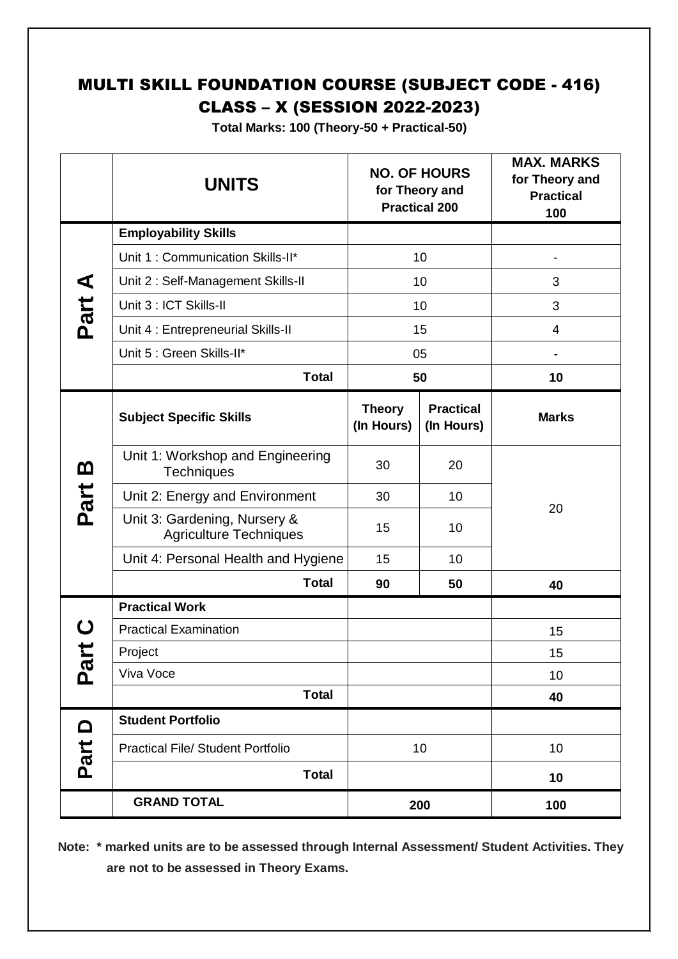## MULTI SKILL FOUNDATION COURSE (SUBJECT CODE - 416) CLASS – X (SESSION 2022-2023)

**Total Marks: 100 (Theory-50 + Practical-50)**

|                | <b>UNITS</b>                                                  | <b>NO. OF HOURS</b><br>for Theory and<br><b>Practical 200</b> |                                | <b>MAX. MARKS</b><br>for Theory and<br><b>Practical</b><br>100 |
|----------------|---------------------------------------------------------------|---------------------------------------------------------------|--------------------------------|----------------------------------------------------------------|
|                | <b>Employability Skills</b>                                   |                                                               |                                |                                                                |
|                | Unit 1: Communication Skills-II*                              |                                                               | 10                             |                                                                |
| ⋖              | Unit 2: Self-Management Skills-II                             |                                                               | 10                             | 3                                                              |
| Part           | Unit 3 : ICT Skills-II                                        |                                                               | 10                             | 3                                                              |
|                | Unit 4 : Entrepreneurial Skills-II                            |                                                               | 15                             | $\overline{4}$                                                 |
|                | Unit 5 : Green Skills-II*                                     |                                                               | 05                             | $\overline{\phantom{0}}$                                       |
|                | <b>Total</b>                                                  |                                                               | 50                             | 10                                                             |
|                | <b>Subject Specific Skills</b>                                | <b>Theory</b><br>(In Hours)                                   | <b>Practical</b><br>(In Hours) | <b>Marks</b>                                                   |
| <u>ന</u>       | Unit 1: Workshop and Engineering<br><b>Techniques</b>         | 30                                                            | 20                             |                                                                |
| Part           | Unit 2: Energy and Environment                                | 30                                                            | 10                             | 20                                                             |
|                | Unit 3: Gardening, Nursery &<br><b>Agriculture Techniques</b> | 15                                                            | 10                             |                                                                |
|                | Unit 4: Personal Health and Hygiene                           | 15                                                            | 10                             |                                                                |
|                | <b>Total</b>                                                  | 90                                                            | 50                             | 40                                                             |
|                | <b>Practical Work</b>                                         |                                                               |                                |                                                                |
|                | <b>Practical Examination</b>                                  |                                                               |                                | 15                                                             |
| ゼ              | Project                                                       |                                                               |                                | 15                                                             |
| <b>Pa</b>      | Viva Voce                                                     |                                                               |                                | 10                                                             |
|                | <b>Total</b>                                                  |                                                               |                                | 40                                                             |
| $\blacksquare$ | <b>Student Portfolio</b>                                      |                                                               |                                |                                                                |
| Part           | <b>Practical File/ Student Portfolio</b>                      |                                                               | 10                             | 10                                                             |
|                | <b>Total</b>                                                  |                                                               |                                | 10                                                             |
|                | <b>GRAND TOTAL</b>                                            |                                                               | 200                            | 100                                                            |

 **Note: \* marked units are to be assessed through Internal Assessment/ Student Activities. They are not to be assessed in Theory Exams.**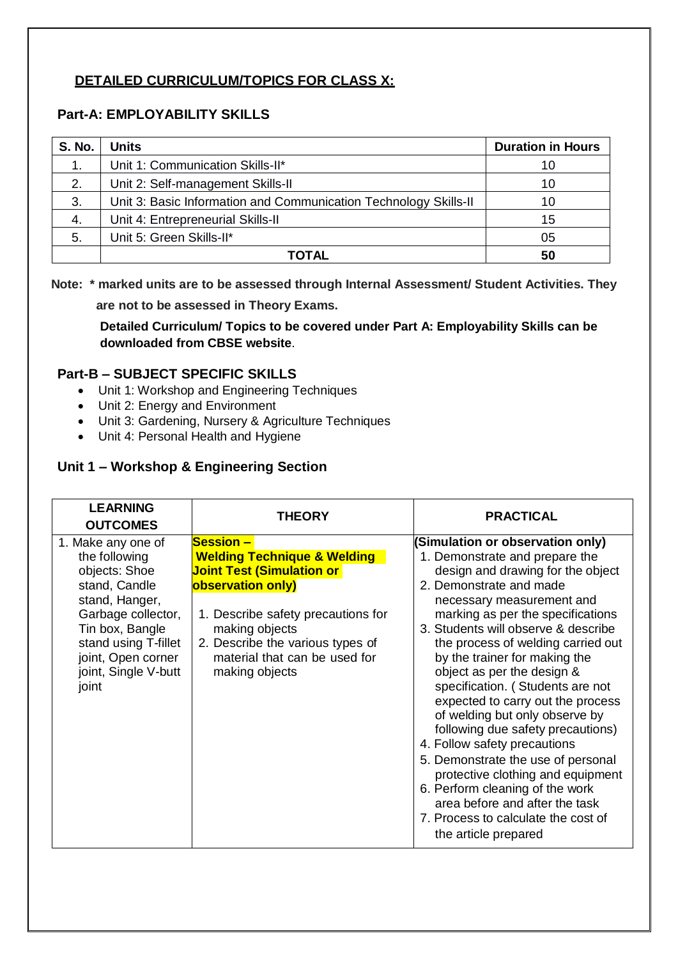## **DETAILED CURRICULUM/TOPICS FOR CLASS X:**

## **Part-A: EMPLOYABILITY SKILLS**

| <b>S. No.</b> | Units                                                            | <b>Duration in Hours</b> |
|---------------|------------------------------------------------------------------|--------------------------|
| $\mathbf 1$ . | Unit 1: Communication Skills-II*                                 | 10                       |
| 2.            | Unit 2: Self-management Skills-II                                | 10                       |
| 3.            | Unit 3: Basic Information and Communication Technology Skills-II | 10                       |
| 4.            | Unit 4: Entrepreneurial Skills-II                                | 15                       |
| 5.            | Unit 5: Green Skills-II*                                         | 05                       |
|               | TOTAL                                                            | 50                       |

 **Note: \* marked units are to be assessed through Internal Assessment/ Student Activities. They** 

 **are not to be assessed in Theory Exams.**

**Detailed Curriculum/ Topics to be covered under Part A: Employability Skills can be downloaded from CBSE website**.

#### **Part-B – SUBJECT SPECIFIC SKILLS**

- Unit 1: Workshop and Engineering Techniques
- Unit 2: Energy and Environment
- Unit 3: Gardening, Nursery & Agriculture Techniques
- Unit 4: Personal Health and Hygiene

#### **Unit 1 – Workshop & Engineering Section**

| <b>LEARNING</b><br><b>OUTCOMES</b>                                                                                                                                                                              | <b>THEORY</b>                                                                                                                                                                                                                                                       | <b>PRACTICAL</b>                                                                                                                                                                                                                                                                                                                                                                                                                                                                                                                                                                                                                                                                                                                                |
|-----------------------------------------------------------------------------------------------------------------------------------------------------------------------------------------------------------------|---------------------------------------------------------------------------------------------------------------------------------------------------------------------------------------------------------------------------------------------------------------------|-------------------------------------------------------------------------------------------------------------------------------------------------------------------------------------------------------------------------------------------------------------------------------------------------------------------------------------------------------------------------------------------------------------------------------------------------------------------------------------------------------------------------------------------------------------------------------------------------------------------------------------------------------------------------------------------------------------------------------------------------|
| 1. Make any one of<br>the following<br>objects: Shoe<br>stand, Candle<br>stand, Hanger,<br>Garbage collector,<br>Tin box, Bangle<br>stand using T-fillet<br>joint, Open corner<br>joint, Single V-butt<br>joint | <b>Session –</b><br><b>Welding Technique &amp; Welding</b><br><u>Joint Test (Simulation or </u><br>observation only)<br>1. Describe safety precautions for<br>making objects<br>2. Describe the various types of<br>material that can be used for<br>making objects | (Simulation or observation only)<br>1. Demonstrate and prepare the<br>design and drawing for the object<br>2. Demonstrate and made<br>necessary measurement and<br>marking as per the specifications<br>3. Students will observe & describe<br>the process of welding carried out<br>by the trainer for making the<br>object as per the design &<br>specification. (Students are not<br>expected to carry out the process<br>of welding but only observe by<br>following due safety precautions)<br>4. Follow safety precautions<br>5. Demonstrate the use of personal<br>protective clothing and equipment<br>6. Perform cleaning of the work<br>area before and after the task<br>7. Process to calculate the cost of<br>the article prepared |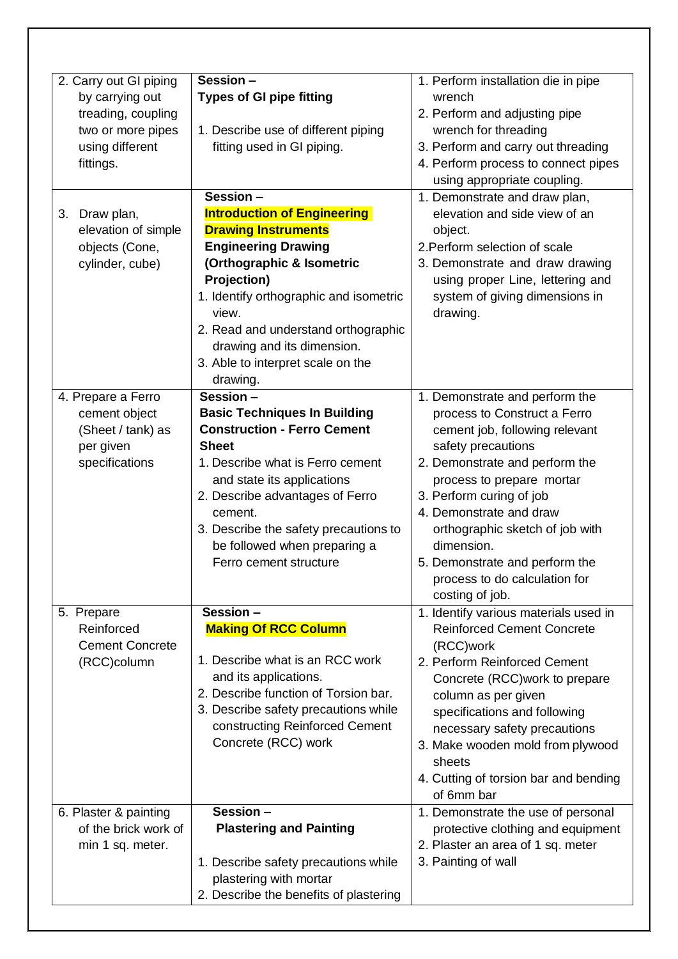| 2. Carry out GI piping<br>by carrying out<br>treading, coupling<br>two or more pipes<br>using different<br>fittings. | Session-<br><b>Types of GI pipe fitting</b><br>1. Describe use of different piping<br>fitting used in GI piping.                                                                                                                                                                                                          | 1. Perform installation die in pipe<br>wrench<br>2. Perform and adjusting pipe<br>wrench for threading<br>3. Perform and carry out threading<br>4. Perform process to connect pipes<br>using appropriate coupling.                                                                                                                                                                  |
|----------------------------------------------------------------------------------------------------------------------|---------------------------------------------------------------------------------------------------------------------------------------------------------------------------------------------------------------------------------------------------------------------------------------------------------------------------|-------------------------------------------------------------------------------------------------------------------------------------------------------------------------------------------------------------------------------------------------------------------------------------------------------------------------------------------------------------------------------------|
|                                                                                                                      | Session -                                                                                                                                                                                                                                                                                                                 | 1. Demonstrate and draw plan,                                                                                                                                                                                                                                                                                                                                                       |
| Draw plan,<br>3.<br>elevation of simple<br>objects (Cone,<br>cylinder, cube)                                         | <b>Introduction of Engineering</b><br><b>Drawing Instruments</b><br><b>Engineering Drawing</b><br>(Orthographic & Isometric<br>Projection)<br>1. Identify orthographic and isometric<br>view.<br>2. Read and understand orthographic<br>drawing and its dimension.<br>3. Able to interpret scale on the<br>drawing.       | elevation and side view of an<br>object.<br>2. Perform selection of scale<br>3. Demonstrate and draw drawing<br>using proper Line, lettering and<br>system of giving dimensions in<br>drawing.                                                                                                                                                                                      |
| 4. Prepare a Ferro<br>cement object<br>(Sheet / tank) as<br>per given<br>specifications                              | Session -<br><b>Basic Techniques In Building</b><br><b>Construction - Ferro Cement</b><br><b>Sheet</b><br>1. Describe what is Ferro cement<br>and state its applications<br>2. Describe advantages of Ferro<br>cement.<br>3. Describe the safety precautions to<br>be followed when preparing a<br>Ferro cement structure | 1. Demonstrate and perform the<br>process to Construct a Ferro<br>cement job, following relevant<br>safety precautions<br>2. Demonstrate and perform the<br>process to prepare mortar<br>3. Perform curing of job<br>4. Demonstrate and draw<br>orthographic sketch of job with<br>dimension.<br>5. Demonstrate and perform the<br>process to do calculation for<br>costing of job. |
| 5. Prepare<br>Reinforced<br><b>Cement Concrete</b><br>(RCC)column                                                    | Session -<br><b>Making Of RCC Column</b><br>1. Describe what is an RCC work<br>and its applications.<br>2. Describe function of Torsion bar.<br>3. Describe safety precautions while<br>constructing Reinforced Cement<br>Concrete (RCC) work                                                                             | 1. Identify various materials used in<br><b>Reinforced Cement Concrete</b><br>(RCC)work<br>2. Perform Reinforced Cement<br>Concrete (RCC) work to prepare<br>column as per given<br>specifications and following<br>necessary safety precautions<br>3. Make wooden mold from plywood<br>sheets<br>4. Cutting of torsion bar and bending<br>of 6mm bar                               |
| 6. Plaster & painting<br>of the brick work of<br>min 1 sq. meter.                                                    | Session -<br><b>Plastering and Painting</b><br>1. Describe safety precautions while<br>plastering with mortar<br>2. Describe the benefits of plastering                                                                                                                                                                   | 1. Demonstrate the use of personal<br>protective clothing and equipment<br>2. Plaster an area of 1 sq. meter<br>3. Painting of wall                                                                                                                                                                                                                                                 |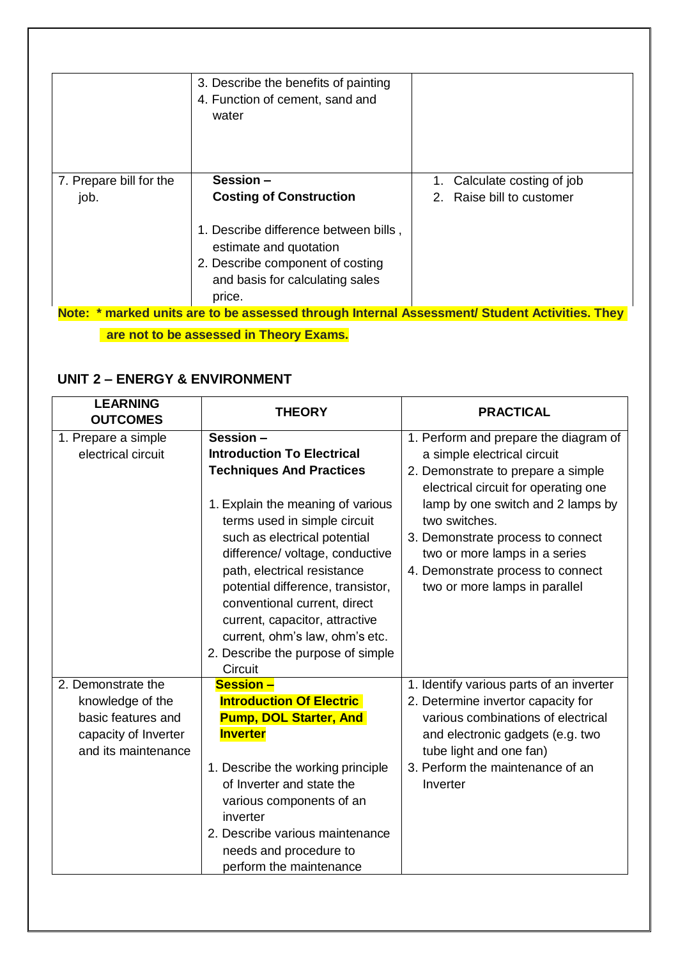|                                 | 3. Describe the benefits of painting<br>4. Function of cement, sand and<br>water                    |                                                       |
|---------------------------------|-----------------------------------------------------------------------------------------------------|-------------------------------------------------------|
| 7. Prepare bill for the<br>job. | Session -<br><b>Costing of Construction</b>                                                         | Calculate costing of job<br>2. Raise bill to customer |
|                                 | 1. Describe difference between bills,<br>estimate and quotation<br>2. Describe component of costing |                                                       |

## **UNIT 2 – ENERGY & ENVIRONMENT**

| <b>LEARNING</b><br><b>OUTCOMES</b>                                                                          | <b>THEORY</b>                                                                                                                                                                                                                                                                                                                                                                                                                         | <b>PRACTICAL</b>                                                                                                                                                                                                                                                                                                                                     |
|-------------------------------------------------------------------------------------------------------------|---------------------------------------------------------------------------------------------------------------------------------------------------------------------------------------------------------------------------------------------------------------------------------------------------------------------------------------------------------------------------------------------------------------------------------------|------------------------------------------------------------------------------------------------------------------------------------------------------------------------------------------------------------------------------------------------------------------------------------------------------------------------------------------------------|
| 1. Prepare a simple<br>electrical circuit                                                                   | Session-<br><b>Introduction To Electrical</b><br><b>Techniques And Practices</b><br>1. Explain the meaning of various<br>terms used in simple circuit<br>such as electrical potential<br>difference/ voltage, conductive<br>path, electrical resistance<br>potential difference, transistor,<br>conventional current, direct<br>current, capacitor, attractive<br>current, ohm's law, ohm's etc.<br>2. Describe the purpose of simple | 1. Perform and prepare the diagram of<br>a simple electrical circuit<br>2. Demonstrate to prepare a simple<br>electrical circuit for operating one<br>lamp by one switch and 2 lamps by<br>two switches.<br>3. Demonstrate process to connect<br>two or more lamps in a series<br>4. Demonstrate process to connect<br>two or more lamps in parallel |
| 2. Demonstrate the<br>knowledge of the<br>basic features and<br>capacity of Inverter<br>and its maintenance | Circuit<br><b>Session -</b><br><b>Introduction Of Electric</b><br><b>Pump, DOL Starter, And</b><br><b>Inverter</b><br>1. Describe the working principle<br>of Inverter and state the<br>various components of an<br>inverter<br>2. Describe various maintenance<br>needs and procedure to<br>perform the maintenance                                                                                                                  | 1. Identify various parts of an inverter<br>2. Determine invertor capacity for<br>various combinations of electrical<br>and electronic gadgets (e.g. two<br>tube light and one fan)<br>3. Perform the maintenance of an<br>Inverter                                                                                                                  |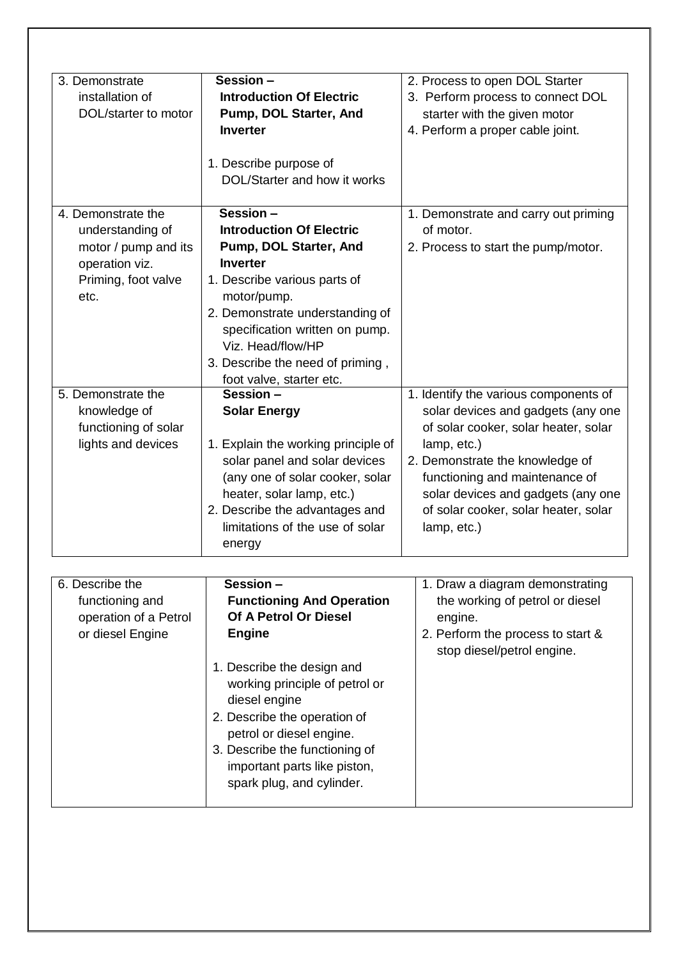| 3. Demonstrate        | Session -                               | 2. Process to open DOL Starter        |
|-----------------------|-----------------------------------------|---------------------------------------|
| installation of       | <b>Introduction Of Electric</b>         | 3. Perform process to connect DOL     |
| DOL/starter to motor  | Pump, DOL Starter, And                  | starter with the given motor          |
|                       | <b>Inverter</b>                         | 4. Perform a proper cable joint.      |
|                       |                                         |                                       |
|                       | 1. Describe purpose of                  |                                       |
|                       | DOL/Starter and how it works            |                                       |
|                       |                                         |                                       |
| 4. Demonstrate the    | Session -                               | 1. Demonstrate and carry out priming  |
| understanding of      | <b>Introduction Of Electric</b>         | of motor.                             |
| motor / pump and its  | Pump, DOL Starter, And                  | 2. Process to start the pump/motor.   |
| operation viz.        | <b>Inverter</b>                         |                                       |
| Priming, foot valve   | 1. Describe various parts of            |                                       |
| etc.                  | motor/pump.                             |                                       |
|                       | 2. Demonstrate understanding of         |                                       |
|                       | specification written on pump.          |                                       |
|                       | Viz. Head/flow/HP                       |                                       |
|                       |                                         |                                       |
|                       | 3. Describe the need of priming,        |                                       |
| 5. Demonstrate the    | foot valve, starter etc.<br>Session $-$ |                                       |
|                       |                                         | 1. Identify the various components of |
| knowledge of          | <b>Solar Energy</b>                     | solar devices and gadgets (any one    |
| functioning of solar  |                                         | of solar cooker, solar heater, solar  |
| lights and devices    | 1. Explain the working principle of     | lamp, etc.)                           |
|                       | solar panel and solar devices           | 2. Demonstrate the knowledge of       |
|                       | (any one of solar cooker, solar         | functioning and maintenance of        |
|                       | heater, solar lamp, etc.)               | solar devices and gadgets (any one    |
|                       | 2. Describe the advantages and          | of solar cooker, solar heater, solar  |
|                       | limitations of the use of solar         | lamp, etc.)                           |
|                       | energy                                  |                                       |
|                       |                                         |                                       |
| 6. Describe the       | Session-                                | 1. Draw a diagram demonstrating       |
| functioning and       | <b>Functioning And Operation</b>        | the working of petrol or diesel       |
| operation of a Petrol | Of A Petrol Or Diesel                   | engine.                               |
| or diesel Engine      | <b>Engine</b>                           | 2. Perform the process to start &     |
|                       |                                         | stop diesel/petrol engine.            |
|                       | 1. Describe the design and              |                                       |
|                       | working principle of petrol or          |                                       |
|                       | diesel engine                           |                                       |
|                       | 2. Describe the operation of            |                                       |
|                       |                                         |                                       |
|                       | petrol or diesel engine.                |                                       |
|                       | 3. Describe the functioning of          |                                       |
|                       | important parts like piston,            |                                       |
|                       | spark plug, and cylinder.               |                                       |
|                       |                                         |                                       |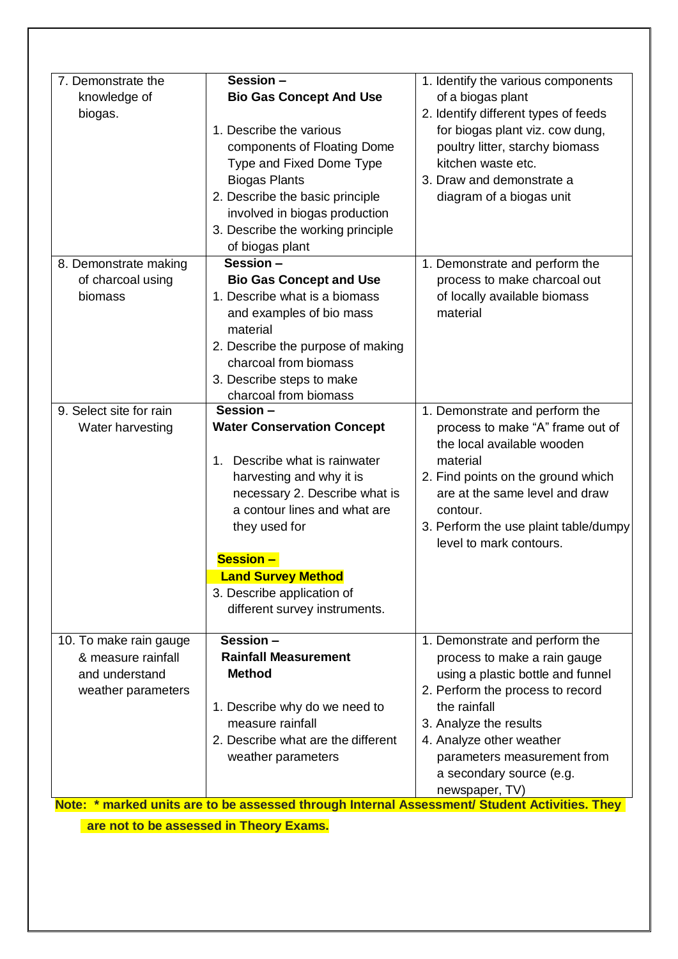| 7. Demonstrate the      | Session -                                                                                     | 1. Identify the various components    |
|-------------------------|-----------------------------------------------------------------------------------------------|---------------------------------------|
| knowledge of            | <b>Bio Gas Concept And Use</b>                                                                | of a biogas plant                     |
| biogas.                 |                                                                                               | 2. Identify different types of feeds  |
|                         | 1. Describe the various                                                                       | for biogas plant viz. cow dung,       |
|                         | components of Floating Dome                                                                   | poultry litter, starchy biomass       |
|                         | Type and Fixed Dome Type                                                                      | kitchen waste etc.                    |
|                         | <b>Biogas Plants</b>                                                                          | 3. Draw and demonstrate a             |
|                         | 2. Describe the basic principle                                                               | diagram of a biogas unit              |
|                         | involved in biogas production                                                                 |                                       |
|                         | 3. Describe the working principle                                                             |                                       |
|                         | of biogas plant                                                                               |                                       |
| 8. Demonstrate making   | Session -                                                                                     | 1. Demonstrate and perform the        |
| of charcoal using       | <b>Bio Gas Concept and Use</b>                                                                | process to make charcoal out          |
| biomass                 | 1. Describe what is a biomass                                                                 | of locally available biomass          |
|                         | and examples of bio mass                                                                      | material                              |
|                         | material                                                                                      |                                       |
|                         | 2. Describe the purpose of making                                                             |                                       |
|                         | charcoal from biomass                                                                         |                                       |
|                         | 3. Describe steps to make                                                                     |                                       |
|                         | charcoal from biomass                                                                         |                                       |
| 9. Select site for rain | Session -                                                                                     | 1. Demonstrate and perform the        |
| Water harvesting        | <b>Water Conservation Concept</b>                                                             | process to make "A" frame out of      |
|                         |                                                                                               | the local available wooden            |
|                         | Describe what is rainwater<br>1.                                                              | material                              |
|                         | harvesting and why it is                                                                      | 2. Find points on the ground which    |
|                         | necessary 2. Describe what is                                                                 | are at the same level and draw        |
|                         | a contour lines and what are                                                                  | contour.                              |
|                         | they used for                                                                                 | 3. Perform the use plaint table/dumpy |
|                         |                                                                                               | level to mark contours.               |
|                         | <b>Session -</b>                                                                              |                                       |
|                         | <b>Land Survey Method</b>                                                                     |                                       |
|                         | 3. Describe application of                                                                    |                                       |
|                         | different survey instruments.                                                                 |                                       |
| 10. To make rain gauge  | S <sub>ession</sub>                                                                           | 1. Demonstrate and perform the        |
| & measure rainfall      | <b>Rainfall Measurement</b>                                                                   | process to make a rain gauge          |
| and understand          | <b>Method</b>                                                                                 | using a plastic bottle and funnel     |
| weather parameters      |                                                                                               | 2. Perform the process to record      |
|                         | 1. Describe why do we need to                                                                 | the rainfall                          |
|                         | measure rainfall                                                                              | 3. Analyze the results                |
|                         | 2. Describe what are the different                                                            | 4. Analyze other weather              |
|                         | weather parameters                                                                            | parameters measurement from           |
|                         |                                                                                               | a secondary source (e.g.              |
|                         |                                                                                               | newspaper, TV)                        |
|                         | Note: * marked units are to be assessed through Internal Assessment/ Student Activities. They |                                       |

 **are not to be assessed in Theory Exams.**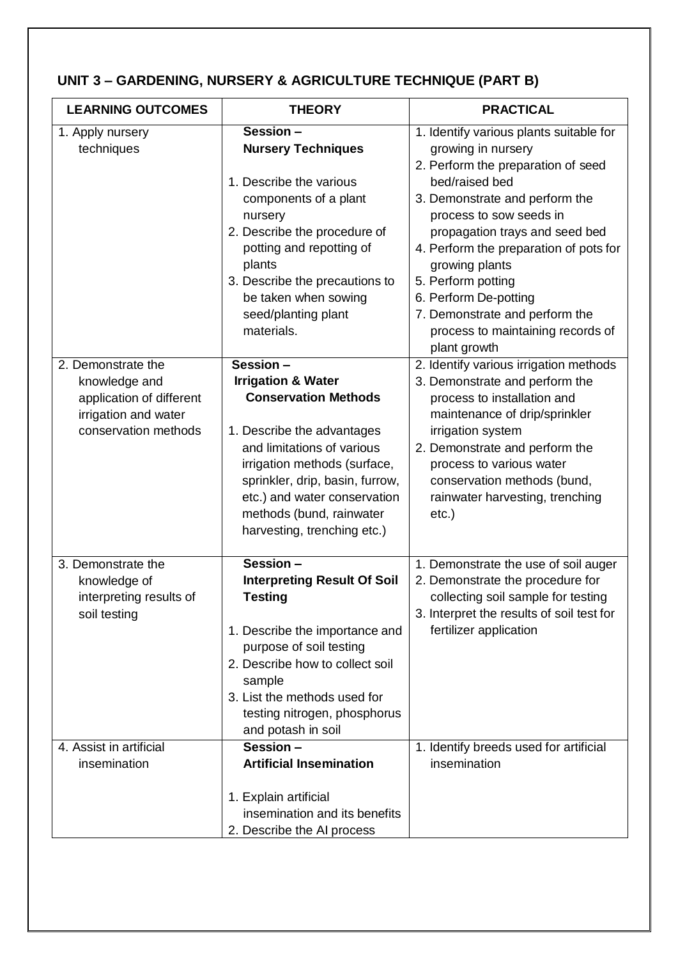## **UNIT 3 – GARDENING, NURSERY & AGRICULTURE TECHNIQUE (PART B)**

| <b>LEARNING OUTCOMES</b>                                                                                        | <b>THEORY</b>                                                                                                                                                                                                                                                                                       | <b>PRACTICAL</b>                                                                                                                                                                                                                                                                                                                                                                                                       |
|-----------------------------------------------------------------------------------------------------------------|-----------------------------------------------------------------------------------------------------------------------------------------------------------------------------------------------------------------------------------------------------------------------------------------------------|------------------------------------------------------------------------------------------------------------------------------------------------------------------------------------------------------------------------------------------------------------------------------------------------------------------------------------------------------------------------------------------------------------------------|
| 1. Apply nursery<br>techniques                                                                                  | Session-<br><b>Nursery Techniques</b><br>1. Describe the various<br>components of a plant<br>nursery<br>2. Describe the procedure of<br>potting and repotting of<br>plants<br>3. Describe the precautions to<br>be taken when sowing<br>seed/planting plant<br>materials.                           | 1. Identify various plants suitable for<br>growing in nursery<br>2. Perform the preparation of seed<br>bed/raised bed<br>3. Demonstrate and perform the<br>process to sow seeds in<br>propagation trays and seed bed<br>4. Perform the preparation of pots for<br>growing plants<br>5. Perform potting<br>6. Perform De-potting<br>7. Demonstrate and perform the<br>process to maintaining records of<br>plant growth |
| 2. Demonstrate the<br>knowledge and<br>application of different<br>irrigation and water<br>conservation methods | Session -<br><b>Irrigation &amp; Water</b><br><b>Conservation Methods</b><br>1. Describe the advantages<br>and limitations of various<br>irrigation methods (surface,<br>sprinkler, drip, basin, furrow,<br>etc.) and water conservation<br>methods (bund, rainwater<br>harvesting, trenching etc.) | 2. Identify various irrigation methods<br>3. Demonstrate and perform the<br>process to installation and<br>maintenance of drip/sprinkler<br>irrigation system<br>2. Demonstrate and perform the<br>process to various water<br>conservation methods (bund,<br>rainwater harvesting, trenching<br>$etc.$ )                                                                                                              |
| 3. Demonstrate the<br>knowledge of<br>interpreting results of<br>soil testing                                   | Session-<br><b>Interpreting Result Of Soil</b><br><b>Testing</b><br>1. Describe the importance and<br>purpose of soil testing<br>2. Describe how to collect soil<br>sample<br>3. List the methods used for<br>testing nitrogen, phosphorus<br>and potash in soil                                    | 1. Demonstrate the use of soil auger<br>2. Demonstrate the procedure for<br>collecting soil sample for testing<br>3. Interpret the results of soil test for<br>fertilizer application                                                                                                                                                                                                                                  |
| 4. Assist in artificial<br>insemination                                                                         | Session -<br><b>Artificial Insemination</b><br>1. Explain artificial<br>insemination and its benefits<br>2. Describe the AI process                                                                                                                                                                 | 1. Identify breeds used for artificial<br>insemination                                                                                                                                                                                                                                                                                                                                                                 |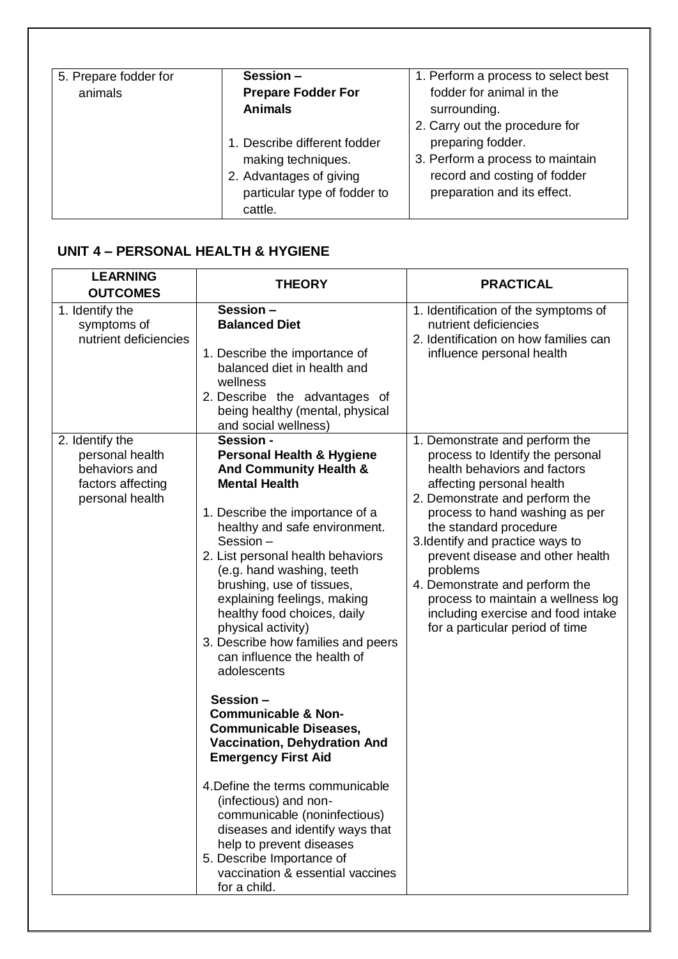| 5. Prepare fodder for | Session -                    | 1. Perform a process to select best |
|-----------------------|------------------------------|-------------------------------------|
| animals               | <b>Prepare Fodder For</b>    | fodder for animal in the            |
|                       | <b>Animals</b>               | surrounding.                        |
|                       |                              | 2. Carry out the procedure for      |
|                       | 1. Describe different fodder | preparing fodder.                   |
|                       | making techniques.           | 3. Perform a process to maintain    |
|                       | 2. Advantages of giving      | record and costing of fodder        |
|                       | particular type of fodder to | preparation and its effect.         |
|                       | cattle.                      |                                     |

## **UNIT 4 – PERSONAL HEALTH & HYGIENE**

| <b>LEARNING</b><br><b>OUTCOMES</b>                                                          | <b>THEORY</b>                                                                                                                                                                                                                                                                                                                                                                                                                                                                                                                                                                                                                                                                                                                                                                                                                                                           | <b>PRACTICAL</b>                                                                                                                                                                                                                                                                                                                                                                                                                                                   |
|---------------------------------------------------------------------------------------------|-------------------------------------------------------------------------------------------------------------------------------------------------------------------------------------------------------------------------------------------------------------------------------------------------------------------------------------------------------------------------------------------------------------------------------------------------------------------------------------------------------------------------------------------------------------------------------------------------------------------------------------------------------------------------------------------------------------------------------------------------------------------------------------------------------------------------------------------------------------------------|--------------------------------------------------------------------------------------------------------------------------------------------------------------------------------------------------------------------------------------------------------------------------------------------------------------------------------------------------------------------------------------------------------------------------------------------------------------------|
| 1. Identify the<br>symptoms of<br>nutrient deficiencies                                     | Session -<br><b>Balanced Diet</b><br>1. Describe the importance of<br>balanced diet in health and<br>wellness<br>2. Describe the advantages of<br>being healthy (mental, physical<br>and social wellness)                                                                                                                                                                                                                                                                                                                                                                                                                                                                                                                                                                                                                                                               | 1. Identification of the symptoms of<br>nutrient deficiencies<br>2. Identification on how families can<br>influence personal health                                                                                                                                                                                                                                                                                                                                |
| 2. Identify the<br>personal health<br>behaviors and<br>factors affecting<br>personal health | Session -<br><b>Personal Health &amp; Hygiene</b><br><b>And Community Health &amp;</b><br><b>Mental Health</b><br>1. Describe the importance of a<br>healthy and safe environment.<br>Session-<br>2. List personal health behaviors<br>(e.g. hand washing, teeth<br>brushing, use of tissues,<br>explaining feelings, making<br>healthy food choices, daily<br>physical activity)<br>3. Describe how families and peers<br>can influence the health of<br>adolescents<br>Session -<br><b>Communicable &amp; Non-</b><br><b>Communicable Diseases,</b><br><b>Vaccination, Dehydration And</b><br><b>Emergency First Aid</b><br>4. Define the terms communicable<br>(infectious) and non-<br>communicable (noninfectious)<br>diseases and identify ways that<br>help to prevent diseases<br>5. Describe Importance of<br>vaccination & essential vaccines<br>for a child. | 1. Demonstrate and perform the<br>process to Identify the personal<br>health behaviors and factors<br>affecting personal health<br>2. Demonstrate and perform the<br>process to hand washing as per<br>the standard procedure<br>3. Identify and practice ways to<br>prevent disease and other health<br>problems<br>4. Demonstrate and perform the<br>process to maintain a wellness log<br>including exercise and food intake<br>for a particular period of time |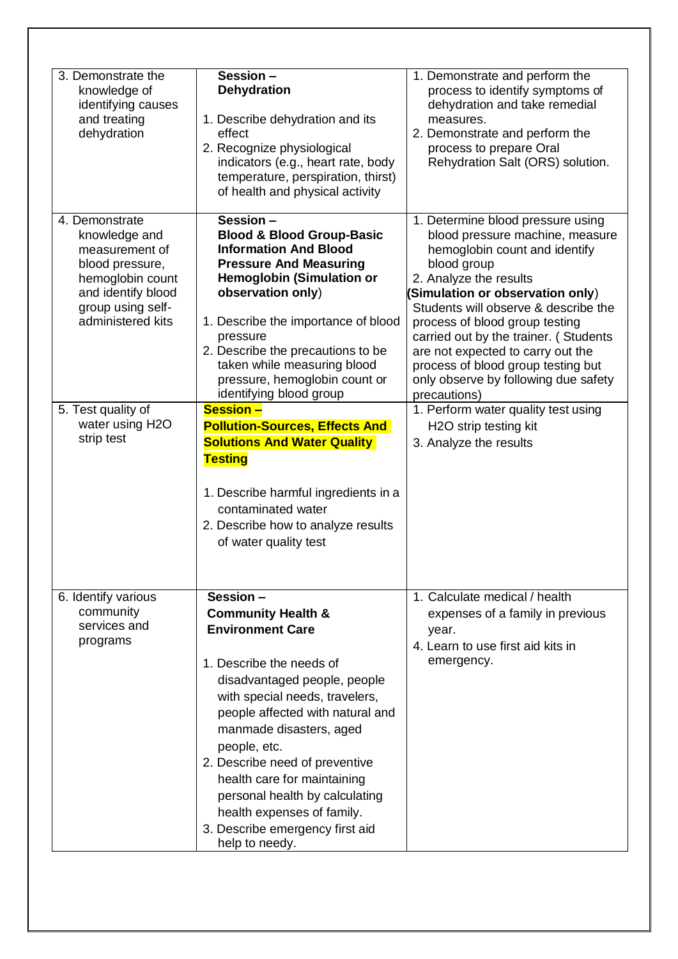| 3. Demonstrate the<br>knowledge of<br>identifying causes<br>and treating<br>dehydration                                                                  | Session-<br><b>Dehydration</b><br>1. Describe dehydration and its<br>effect<br>2. Recognize physiological<br>indicators (e.g., heart rate, body<br>temperature, perspiration, thirst)<br>of health and physical activity                                                                                                                                                                                                                   | 1. Demonstrate and perform the<br>process to identify symptoms of<br>dehydration and take remedial<br>measures.<br>2. Demonstrate and perform the<br>process to prepare Oral<br>Rehydration Salt (ORS) solution.                                                                                                                                                                                                                         |
|----------------------------------------------------------------------------------------------------------------------------------------------------------|--------------------------------------------------------------------------------------------------------------------------------------------------------------------------------------------------------------------------------------------------------------------------------------------------------------------------------------------------------------------------------------------------------------------------------------------|------------------------------------------------------------------------------------------------------------------------------------------------------------------------------------------------------------------------------------------------------------------------------------------------------------------------------------------------------------------------------------------------------------------------------------------|
| 4. Demonstrate<br>knowledge and<br>measurement of<br>blood pressure,<br>hemoglobin count<br>and identify blood<br>group using self-<br>administered kits | Session-<br><b>Blood &amp; Blood Group-Basic</b><br><b>Information And Blood</b><br><b>Pressure And Measuring</b><br><b>Hemoglobin (Simulation or</b><br>observation only)<br>1. Describe the importance of blood<br>pressure<br>2. Describe the precautions to be<br>taken while measuring blood<br>pressure, hemoglobin count or<br>identifying blood group                                                                              | 1. Determine blood pressure using<br>blood pressure machine, measure<br>hemoglobin count and identify<br>blood group<br>2. Analyze the results<br>(Simulation or observation only)<br>Students will observe & describe the<br>process of blood group testing<br>carried out by the trainer. (Students<br>are not expected to carry out the<br>process of blood group testing but<br>only observe by following due safety<br>precautions) |
| 5. Test quality of<br>water using H2O<br>strip test                                                                                                      | <b>Session -</b><br><b>Pollution-Sources, Effects And</b><br><b>Solutions And Water Quality</b><br><b>Testing</b><br>1. Describe harmful ingredients in a<br>contaminated water<br>2. Describe how to analyze results<br>of water quality test                                                                                                                                                                                             | 1. Perform water quality test using<br>H2O strip testing kit<br>3. Analyze the results                                                                                                                                                                                                                                                                                                                                                   |
| 6. Identify various<br>community<br>services and<br>programs                                                                                             | $Session -$<br><b>Community Health &amp;</b><br><b>Environment Care</b><br>1. Describe the needs of<br>disadvantaged people, people<br>with special needs, travelers,<br>people affected with natural and<br>manmade disasters, aged<br>people, etc.<br>2. Describe need of preventive<br>health care for maintaining<br>personal health by calculating<br>health expenses of family.<br>3. Describe emergency first aid<br>help to needy. | 1. Calculate medical / health<br>expenses of a family in previous<br>year.<br>4. Learn to use first aid kits in<br>emergency.                                                                                                                                                                                                                                                                                                            |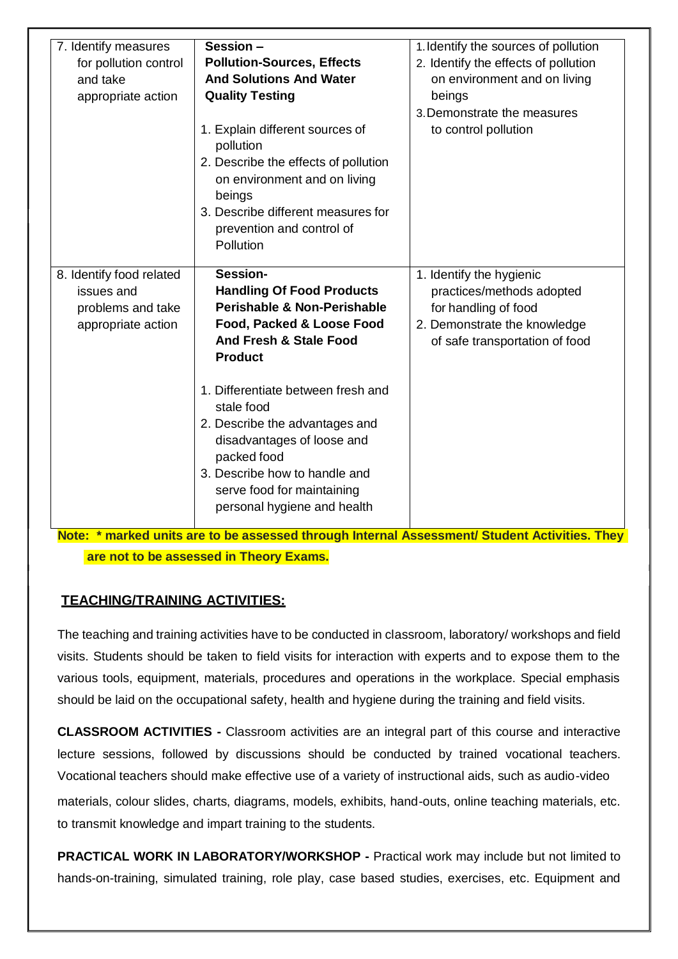| 7. Identify measures<br>for pollution control<br>and take<br>appropriate action   | Session -<br><b>Pollution-Sources, Effects</b><br><b>And Solutions And Water</b><br><b>Quality Testing</b><br>1. Explain different sources of<br>pollution<br>2. Describe the effects of pollution<br>on environment and on living<br>beings<br>3. Describe different measures for<br>prevention and control of<br>Pollution                                                                                | 1. Identify the sources of pollution<br>2. Identify the effects of pollution<br>on environment and on living<br>beings<br>3. Demonstrate the measures<br>to control pollution |  |
|-----------------------------------------------------------------------------------|-------------------------------------------------------------------------------------------------------------------------------------------------------------------------------------------------------------------------------------------------------------------------------------------------------------------------------------------------------------------------------------------------------------|-------------------------------------------------------------------------------------------------------------------------------------------------------------------------------|--|
| 8. Identify food related<br>issues and<br>problems and take<br>appropriate action | Session-<br><b>Handling Of Food Products</b><br><b>Perishable &amp; Non-Perishable</b><br>Food, Packed & Loose Food<br><b>And Fresh &amp; Stale Food</b><br><b>Product</b><br>1. Differentiate between fresh and<br>stale food<br>2. Describe the advantages and<br>disadvantages of loose and<br>packed food<br>3. Describe how to handle and<br>serve food for maintaining<br>personal hygiene and health | 1. Identify the hygienic<br>practices/methods adopted<br>for handling of food<br>2. Demonstrate the knowledge<br>of safe transportation of food                               |  |

**Note: \* marked units are to be assessed through Internal Assessment/ Student Activities. They are not to be assessed in Theory Exams.**

## **TEACHING/TRAINING ACTIVITIES:**

The teaching and training activities have to be conducted in classroom, laboratory/ workshops and field visits. Students should be taken to field visits for interaction with experts and to expose them to the various tools, equipment, materials, procedures and operations in the workplace. Special emphasis should be laid on the occupational safety, health and hygiene during the training and field visits.

**CLASSROOM ACTIVITIES -** Classroom activities are an integral part of this course and interactive lecture sessions, followed by discussions should be conducted by trained vocational teachers. Vocational teachers should make effective use of a variety of instructional aids, such as audio-video

materials, colour slides, charts, diagrams, models, exhibits, hand-outs, online teaching materials, etc. to transmit knowledge and impart training to the students.

**PRACTICAL WORK IN LABORATORY/WORKSHOP -** Practical work may include but not limited to hands-on-training, simulated training, role play, case based studies, exercises, etc. Equipment and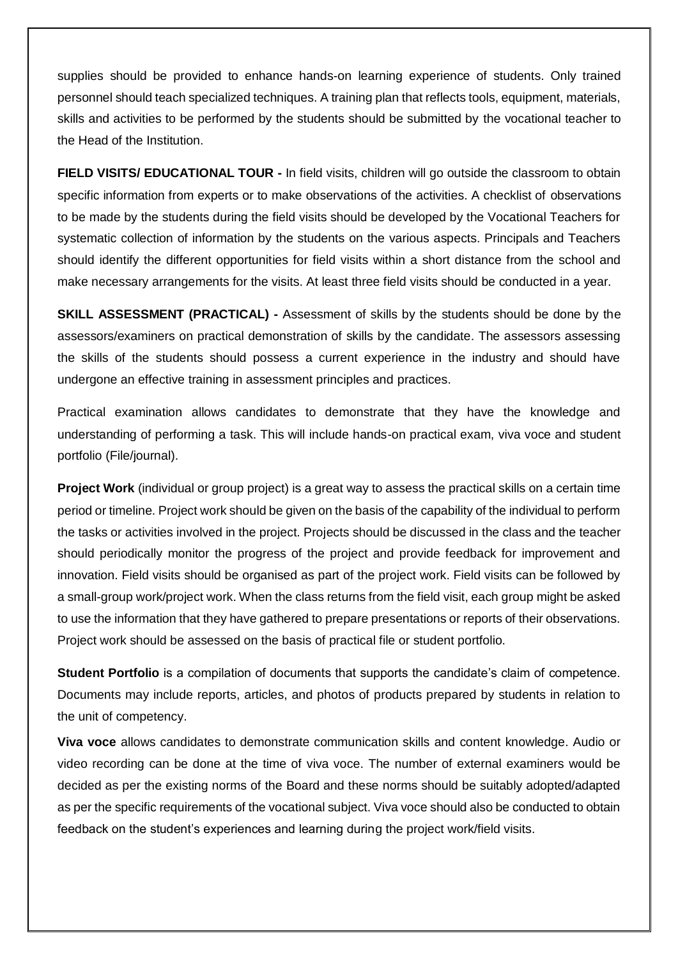supplies should be provided to enhance hands-on learning experience of students. Only trained personnel should teach specialized techniques. A training plan that reflects tools, equipment, materials, skills and activities to be performed by the students should be submitted by the vocational teacher to the Head of the Institution.

**FIELD VISITS/ EDUCATIONAL TOUR -** In field visits, children will go outside the classroom to obtain specific information from experts or to make observations of the activities. A checklist of observations to be made by the students during the field visits should be developed by the Vocational Teachers for systematic collection of information by the students on the various aspects. Principals and Teachers should identify the different opportunities for field visits within a short distance from the school and make necessary arrangements for the visits. At least three field visits should be conducted in a year.

**SKILL ASSESSMENT (PRACTICAL) -** Assessment of skills by the students should be done by the assessors/examiners on practical demonstration of skills by the candidate. The assessors assessing the skills of the students should possess a current experience in the industry and should have undergone an effective training in assessment principles and practices.

Practical examination allows candidates to demonstrate that they have the knowledge and understanding of performing a task. This will include hands-on practical exam, viva voce and student portfolio (File/journal).

**Project Work** (individual or group project) is a great way to assess the practical skills on a certain time period or timeline. Project work should be given on the basis of the capability of the individual to perform the tasks or activities involved in the project. Projects should be discussed in the class and the teacher should periodically monitor the progress of the project and provide feedback for improvement and innovation. Field visits should be organised as part of the project work. Field visits can be followed by a small-group work/project work. When the class returns from the field visit, each group might be asked to use the information that they have gathered to prepare presentations or reports of their observations. Project work should be assessed on the basis of practical file or student portfolio.

**Student Portfolio** is a compilation of documents that supports the candidate's claim of competence. Documents may include reports, articles, and photos of products prepared by students in relation to the unit of competency.

**Viva voce** allows candidates to demonstrate communication skills and content knowledge. Audio or video recording can be done at the time of viva voce. The number of external examiners would be decided as per the existing norms of the Board and these norms should be suitably adopted/adapted as per the specific requirements of the vocational subject. Viva voce should also be conducted to obtain feedback on the student's experiences and learning during the project work/field visits.